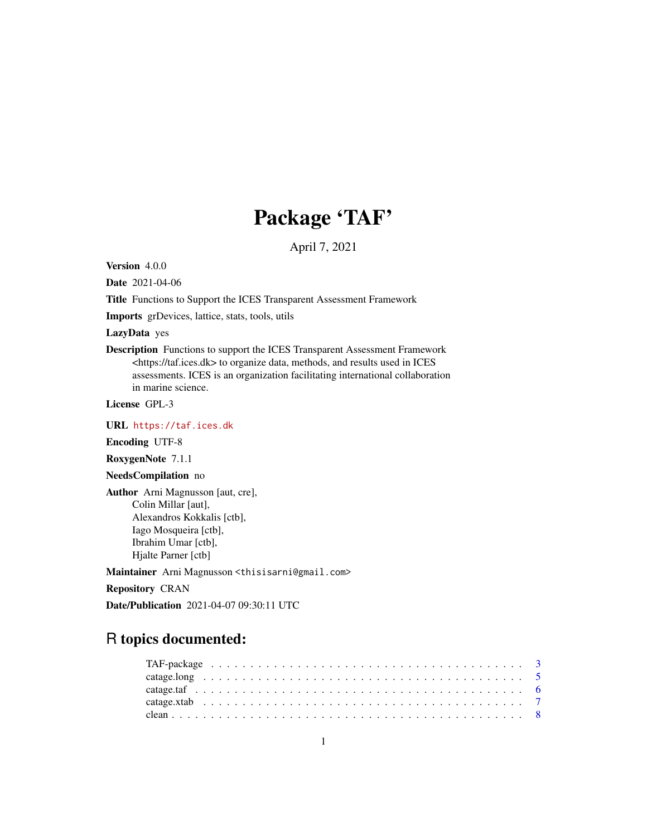# Package 'TAF'

April 7, 2021

<span id="page-0-0"></span>Version 4.0.0

Date 2021-04-06

Title Functions to Support the ICES Transparent Assessment Framework

Imports grDevices, lattice, stats, tools, utils

LazyData yes

Description Functions to support the ICES Transparent Assessment Framework <https://taf.ices.dk> to organize data, methods, and results used in ICES assessments. ICES is an organization facilitating international collaboration in marine science.

License GPL-3

URL <https://taf.ices.dk>

Encoding UTF-8

RoxygenNote 7.1.1

NeedsCompilation no

Author Arni Magnusson [aut, cre], Colin Millar [aut], Alexandros Kokkalis [ctb], Iago Mosqueira [ctb], Ibrahim Umar [ctb], Hjalte Parner [ctb]

Maintainer Arni Magnusson <thisisarni@gmail.com>

Repository CRAN

Date/Publication 2021-04-07 09:30:11 UTC

# R topics documented: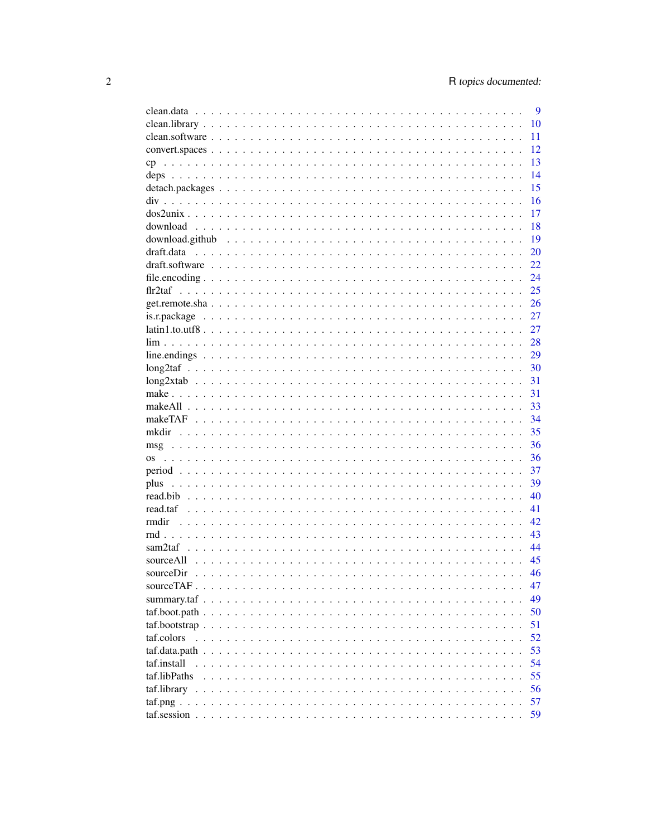| 10<br>11<br>12<br>13<br>14<br>15<br>16<br>17<br>18<br>19<br>$download.$ github $\ldots \ldots \ldots \ldots \ldots \ldots \ldots \ldots \ldots \ldots \ldots \ldots \ldots$<br>20<br>22<br>24<br>25<br>26<br>27<br>27<br>28<br>29<br>30<br>31<br>31<br>33<br>34<br>35<br>36<br>msg<br>36<br>37<br>39<br>40<br>read.taf<br>41<br>42<br>rmdir<br>43<br>44<br>45<br>sourceAll<br>46<br>47<br>49<br>50 |
|----------------------------------------------------------------------------------------------------------------------------------------------------------------------------------------------------------------------------------------------------------------------------------------------------------------------------------------------------------------------------------------------------|
|                                                                                                                                                                                                                                                                                                                                                                                                    |
|                                                                                                                                                                                                                                                                                                                                                                                                    |
|                                                                                                                                                                                                                                                                                                                                                                                                    |
|                                                                                                                                                                                                                                                                                                                                                                                                    |
|                                                                                                                                                                                                                                                                                                                                                                                                    |
|                                                                                                                                                                                                                                                                                                                                                                                                    |
|                                                                                                                                                                                                                                                                                                                                                                                                    |
|                                                                                                                                                                                                                                                                                                                                                                                                    |
|                                                                                                                                                                                                                                                                                                                                                                                                    |
|                                                                                                                                                                                                                                                                                                                                                                                                    |
|                                                                                                                                                                                                                                                                                                                                                                                                    |
|                                                                                                                                                                                                                                                                                                                                                                                                    |
|                                                                                                                                                                                                                                                                                                                                                                                                    |
|                                                                                                                                                                                                                                                                                                                                                                                                    |
|                                                                                                                                                                                                                                                                                                                                                                                                    |
|                                                                                                                                                                                                                                                                                                                                                                                                    |
|                                                                                                                                                                                                                                                                                                                                                                                                    |
|                                                                                                                                                                                                                                                                                                                                                                                                    |
|                                                                                                                                                                                                                                                                                                                                                                                                    |
|                                                                                                                                                                                                                                                                                                                                                                                                    |
|                                                                                                                                                                                                                                                                                                                                                                                                    |
|                                                                                                                                                                                                                                                                                                                                                                                                    |
|                                                                                                                                                                                                                                                                                                                                                                                                    |
|                                                                                                                                                                                                                                                                                                                                                                                                    |
|                                                                                                                                                                                                                                                                                                                                                                                                    |
|                                                                                                                                                                                                                                                                                                                                                                                                    |
|                                                                                                                                                                                                                                                                                                                                                                                                    |
|                                                                                                                                                                                                                                                                                                                                                                                                    |
|                                                                                                                                                                                                                                                                                                                                                                                                    |
|                                                                                                                                                                                                                                                                                                                                                                                                    |
|                                                                                                                                                                                                                                                                                                                                                                                                    |
|                                                                                                                                                                                                                                                                                                                                                                                                    |
|                                                                                                                                                                                                                                                                                                                                                                                                    |
|                                                                                                                                                                                                                                                                                                                                                                                                    |
|                                                                                                                                                                                                                                                                                                                                                                                                    |
|                                                                                                                                                                                                                                                                                                                                                                                                    |
|                                                                                                                                                                                                                                                                                                                                                                                                    |
|                                                                                                                                                                                                                                                                                                                                                                                                    |
|                                                                                                                                                                                                                                                                                                                                                                                                    |
| 51                                                                                                                                                                                                                                                                                                                                                                                                 |
| 52<br>taf.colors                                                                                                                                                                                                                                                                                                                                                                                   |
| 53                                                                                                                                                                                                                                                                                                                                                                                                 |
| 54<br>taf.install                                                                                                                                                                                                                                                                                                                                                                                  |
| 55<br>taf.libPaths                                                                                                                                                                                                                                                                                                                                                                                 |
| 56                                                                                                                                                                                                                                                                                                                                                                                                 |
| 57                                                                                                                                                                                                                                                                                                                                                                                                 |
|                                                                                                                                                                                                                                                                                                                                                                                                    |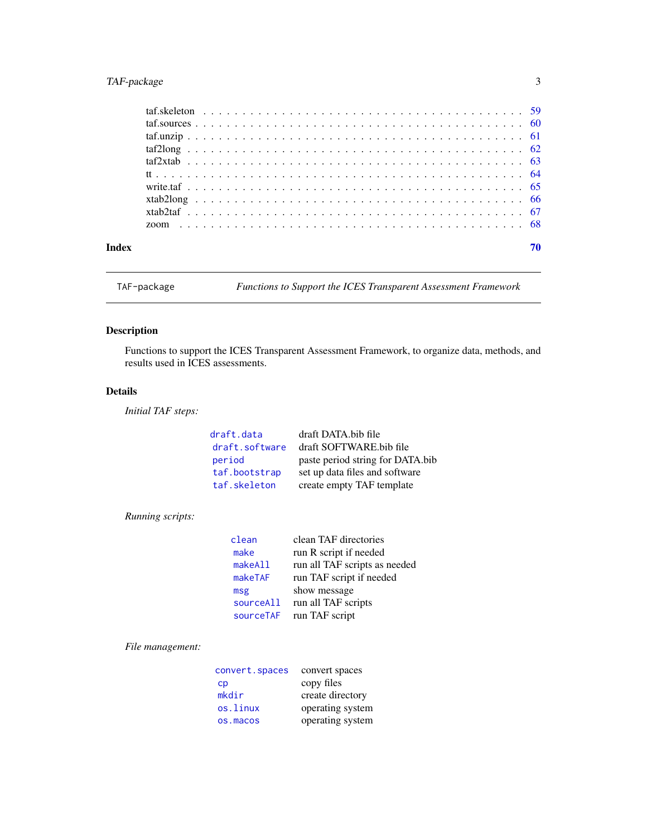# <span id="page-2-0"></span>TAF-package 3

<span id="page-2-1"></span>TAF-package *Functions to Support the ICES Transparent Assessment Framework*

# Description

Functions to support the ICES Transparent Assessment Framework, to organize data, methods, and results used in ICES assessments.

# Details

*Initial TAF steps:*

| draft.data     | draft DATA bib file              |
|----------------|----------------------------------|
| draft.software | draft SOFTWARE bib file          |
| period         | paste period string for DATA.bib |
| taf.bootstrap  | set up data files and software   |
| taf.skeleton   | create empty TAF template        |

# *Running scripts:*

| clean     | clean TAF directories         |
|-----------|-------------------------------|
| make      | run R script if needed        |
| makeAll   | run all TAF scripts as needed |
| makeTAF   | run TAF script if needed      |
| msg       | show message                  |
| sourceAll | run all TAF scripts           |
| sourceTAF | run TAF script                |

*File management:*

| convert.spaces         | convert spaces   |
|------------------------|------------------|
| $\mathsf{c}\mathsf{p}$ | copy files       |
| mkdir                  | create directory |
| os.linux               | operating system |
| os.macos               | operating system |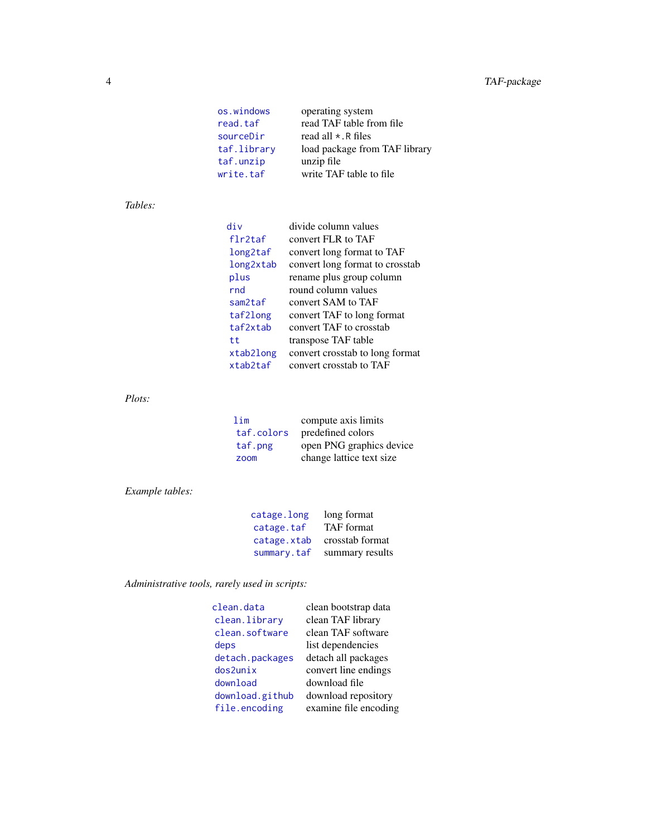<span id="page-3-0"></span>

| operating system              |
|-------------------------------|
| read TAF table from file      |
| read all $\star$ . R files    |
| load package from TAF library |
| unzip file                    |
| write TAF table to file       |
|                               |

# *Tables:*

| div       | divide column values            |
|-----------|---------------------------------|
| flr2taf   | convert FLR to TAF              |
| long2taf  | convert long format to TAF      |
| long2xtab | convert long format to crosstab |
| plus      | rename plus group column        |
| rnd       | round column values             |
| sam2taf   | convert SAM to TAF              |
| taf2long  | convert TAF to long format      |
| taf2xtab  | convert TAF to crosstab         |
| t.t       | transpose TAF table             |
| xtab2long | convert crosstab to long format |
| xtab2taf  | convert crosstab to TAF         |

# *Plots:*

| lim        | compute axis limits      |
|------------|--------------------------|
| taf.colors | predefined colors        |
| taf.png    | open PNG graphics device |
| zoom       | change lattice text size |

# *Example tables:*

| catage.long | long format       |
|-------------|-------------------|
| catage.taf  | <b>TAF</b> format |
| catage.xtab | crosstab format   |
| summary.taf | summary results   |

*Administrative tools, rarely used in scripts:*

| clean.data      | clean bootstrap data  |
|-----------------|-----------------------|
| clean.library   | clean TAF library     |
| clean.software  | clean TAF software    |
| deps            | list dependencies     |
| detach.packages | detach all packages   |
| dos2unix        | convert line endings  |
| download        | download file         |
| download.github | download repository   |
| file.encoding   | examine file encoding |
|                 |                       |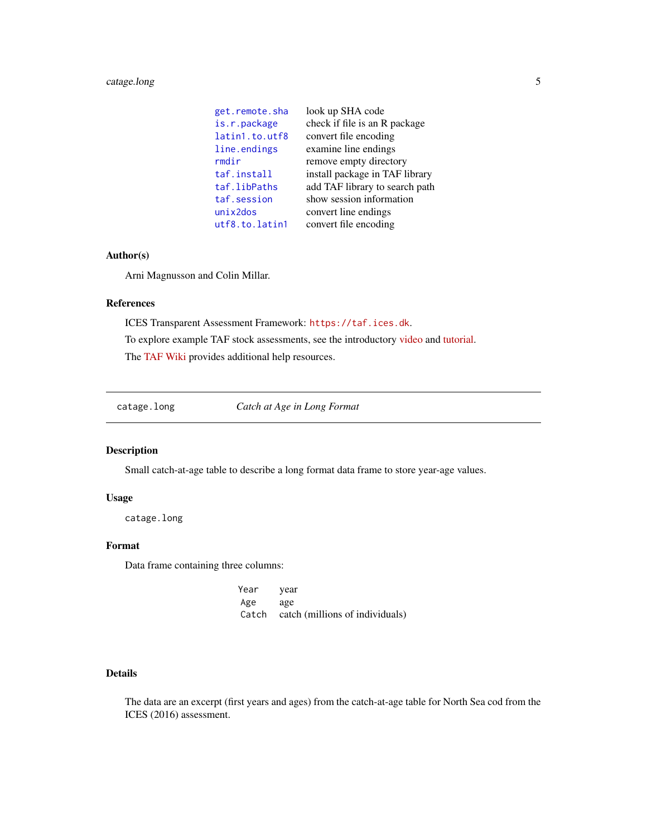# <span id="page-4-0"></span>catage.long 5

| get.remote.sha | look up SHA code               |
|----------------|--------------------------------|
| is.r.package   | check if file is an R package  |
| latin1.to.utf8 | convert file encoding          |
| line.endings   | examine line endings           |
| rmdir          | remove empty directory         |
| taf.install    | install package in TAF library |
| taf.libPaths   | add TAF library to search path |
| taf.session    | show session information       |
| $unix2$ dos    | convert line endings           |
| utf8.to.latin1 | convert file encoding          |

# Author(s)

Arni Magnusson and Colin Millar.

# References

ICES Transparent Assessment Framework: <https://taf.ices.dk>. To explore example TAF stock assessments, see the introductory [video](https://www.youtube.com/watch?v=FweJbr9hfdY) and [tutorial.](https://github.com/ices-taf/doc/blob/master/tutorial-1/README.md) The [TAF Wiki](https://github.com/ices-taf/doc/wiki) provides additional help resources.

<span id="page-4-1"></span>catage.long *Catch at Age in Long Format*

# Description

Small catch-at-age table to describe a long format data frame to store year-age values.

# Usage

catage.long

# Format

Data frame containing three columns:

Year year Age age Catch catch (millions of individuals)

# Details

The data are an excerpt (first years and ages) from the catch-at-age table for North Sea cod from the ICES (2016) assessment.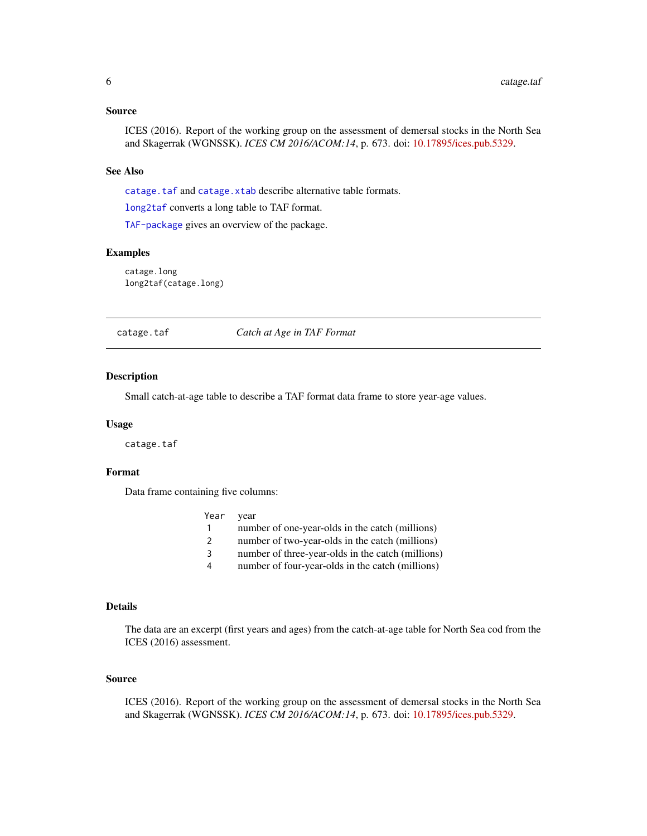#### <span id="page-5-0"></span>Source

ICES (2016). Report of the working group on the assessment of demersal stocks in the North Sea and Skagerrak (WGNSSK). *ICES CM 2016/ACOM:14*, p. 673. doi: [10.17895/ices.pub.5329.](https://doi.org/10.17895/ices.pub.5329)

#### See Also

[catage.taf](#page-5-1) and [catage.xtab](#page-6-1) describe alternative table formats.

[long2taf](#page-29-1) converts a long table to TAF format.

[TAF-package](#page-2-1) gives an overview of the package.

#### Examples

catage.long long2taf(catage.long)

<span id="page-5-1"></span>catage.taf *Catch at Age in TAF Format*

#### Description

Small catch-at-age table to describe a TAF format data frame to store year-age values.

#### Usage

catage.taf

# Format

Data frame containing five columns:

| Year | vear |
|------|------|
|------|------|

- 1 number of one-year-olds in the catch (millions)
- 2 number of two-year-olds in the catch (millions)
- 3 number of three-year-olds in the catch (millions)
- 4 number of four-year-olds in the catch (millions)

#### Details

The data are an excerpt (first years and ages) from the catch-at-age table for North Sea cod from the ICES (2016) assessment.

#### Source

ICES (2016). Report of the working group on the assessment of demersal stocks in the North Sea and Skagerrak (WGNSSK). *ICES CM 2016/ACOM:14*, p. 673. doi: [10.17895/ices.pub.5329.](https://doi.org/10.17895/ices.pub.5329)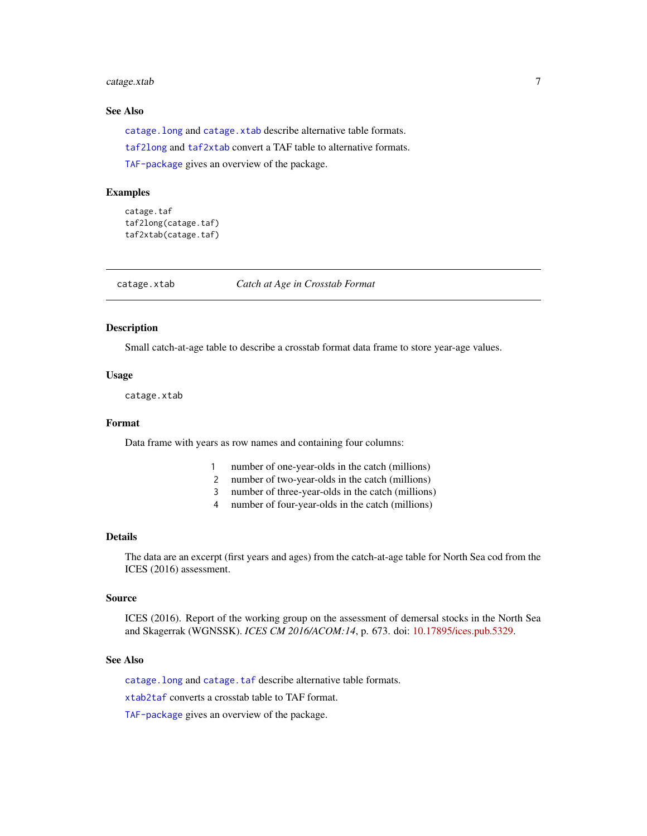# <span id="page-6-0"></span>catage.xtab 7

# See Also

[catage.long](#page-4-1) and [catage.xtab](#page-6-1) describe alternative table formats.

[taf2long](#page-61-1) and [taf2xtab](#page-62-1) convert a TAF table to alternative formats.

[TAF-package](#page-2-1) gives an overview of the package.

#### Examples

```
catage.taf
taf2long(catage.taf)
taf2xtab(catage.taf)
```
<span id="page-6-1"></span>

catage.xtab *Catch at Age in Crosstab Format*

#### Description

Small catch-at-age table to describe a crosstab format data frame to store year-age values.

#### Usage

catage.xtab

# Format

Data frame with years as row names and containing four columns:

- 1 number of one-year-olds in the catch (millions)
- 2 number of two-year-olds in the catch (millions)
- 3 number of three-year-olds in the catch (millions)
- 4 number of four-year-olds in the catch (millions)

#### Details

The data are an excerpt (first years and ages) from the catch-at-age table for North Sea cod from the ICES (2016) assessment.

#### Source

ICES (2016). Report of the working group on the assessment of demersal stocks in the North Sea and Skagerrak (WGNSSK). *ICES CM 2016/ACOM:14*, p. 673. doi: [10.17895/ices.pub.5329.](https://doi.org/10.17895/ices.pub.5329)

#### See Also

catage. long and [catage.taf](#page-5-1) describe alternative table formats.

[xtab2taf](#page-66-1) converts a crosstab table to TAF format.

[TAF-package](#page-2-1) gives an overview of the package.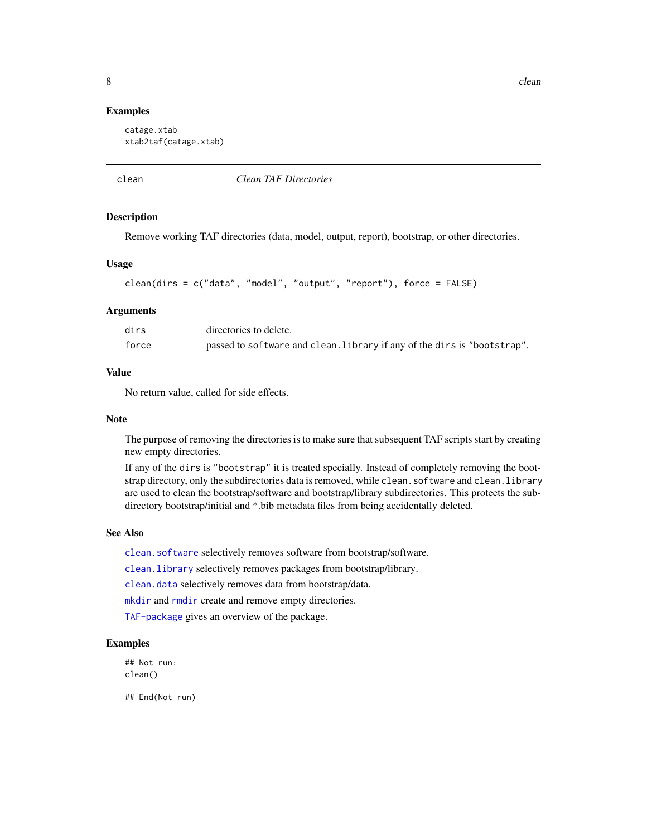#### <span id="page-7-0"></span>Examples

```
catage.xtab
xtab2taf(catage.xtab)
```
<span id="page-7-1"></span>

clean *Clean TAF Directories*

#### **Description**

Remove working TAF directories (data, model, output, report), bootstrap, or other directories.

#### Usage

```
clean(dirs = c("data", "model", "output", "report"), force = FALSE)
```
#### Arguments

| dirs  | directories to delete.                                                   |
|-------|--------------------------------------------------------------------------|
| force | passed to software and clean. Library if any of the dirs is "bootstrap". |

# Value

No return value, called for side effects.

#### Note

The purpose of removing the directories is to make sure that subsequent TAF scripts start by creating new empty directories.

If any of the dirs is "bootstrap" it is treated specially. Instead of completely removing the bootstrap directory, only the subdirectories data is removed, while clean.software and clean.library are used to clean the bootstrap/software and bootstrap/library subdirectories. This protects the subdirectory bootstrap/initial and \*.bib metadata files from being accidentally deleted.

#### See Also

[clean.software](#page-10-1) selectively removes software from bootstrap/software.

[clean.library](#page-9-1) selectively removes packages from bootstrap/library.

[clean.data](#page-8-1) selectively removes data from bootstrap/data.

[mkdir](#page-34-1) and [rmdir](#page-41-1) create and remove empty directories.

[TAF-package](#page-2-1) gives an overview of the package.

#### Examples

## Not run: clean()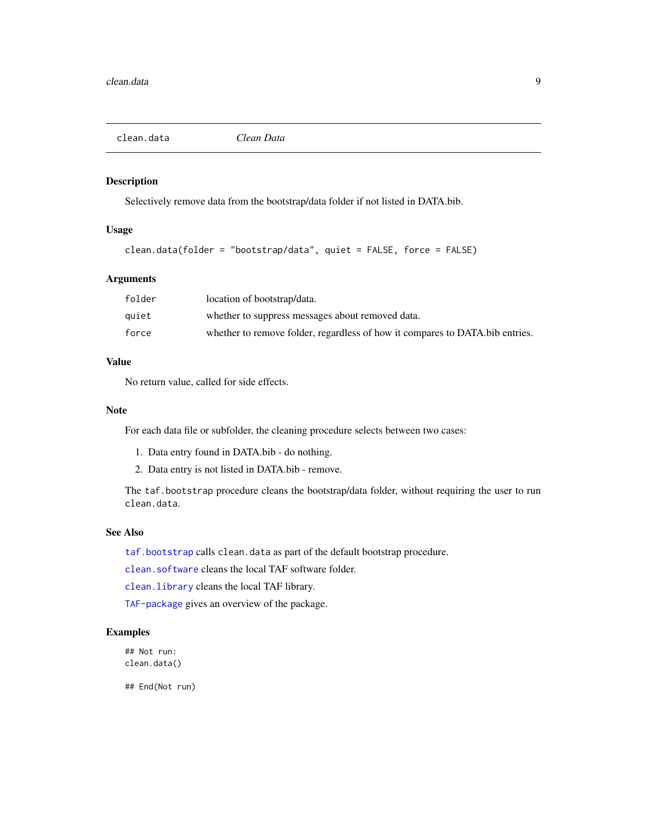<span id="page-8-1"></span><span id="page-8-0"></span>

Selectively remove data from the bootstrap/data folder if not listed in DATA.bib.

# Usage

```
clean.data(folder = "bootstrap/data", quiet = FALSE, force = FALSE)
```
# Arguments

| folder | location of bootstrap/data.                                                  |
|--------|------------------------------------------------------------------------------|
| quiet  | whether to suppress messages about removed data.                             |
| force  | whether to remove folder, regardless of how it compares to DATA.bib entries. |

# Value

No return value, called for side effects.

#### Note

For each data file or subfolder, the cleaning procedure selects between two cases:

- 1. Data entry found in DATA.bib do nothing.
- 2. Data entry is not listed in DATA.bib remove.

The taf.bootstrap procedure cleans the bootstrap/data folder, without requiring the user to run clean.data.

#### See Also

[taf.bootstrap](#page-50-1) calls clean.data as part of the default bootstrap procedure.

[clean.software](#page-10-1) cleans the local TAF software folder.

[clean.library](#page-9-1) cleans the local TAF library.

[TAF-package](#page-2-1) gives an overview of the package.

# Examples

## Not run: clean.data()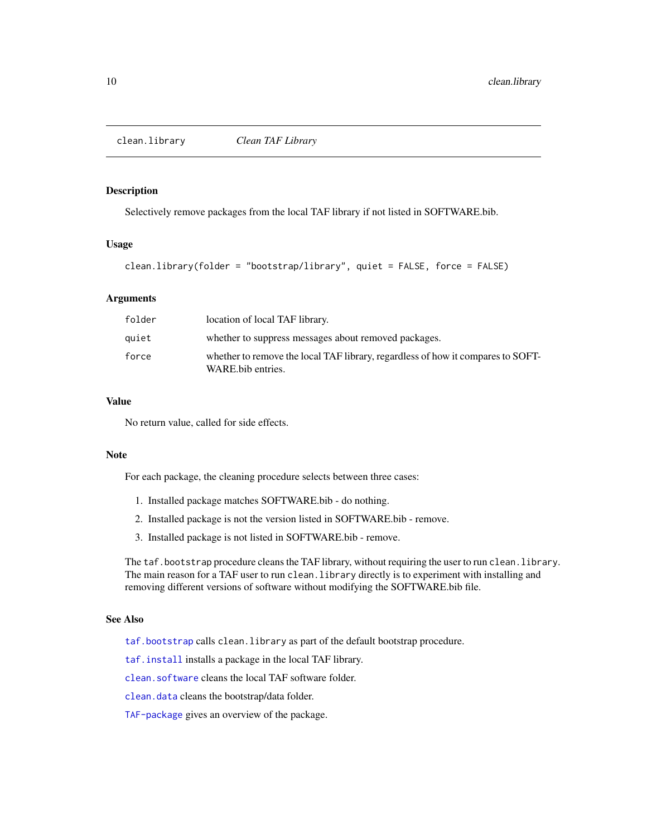<span id="page-9-1"></span><span id="page-9-0"></span>

Selectively remove packages from the local TAF library if not listed in SOFTWARE.bib.

#### Usage

```
clean.library(folder = "bootstrap/library", quiet = FALSE, force = FALSE)
```
#### Arguments

| folder | location of local TAF library.                                                                       |
|--------|------------------------------------------------------------------------------------------------------|
| quiet  | whether to suppress messages about removed packages.                                                 |
| force  | whether to remove the local TAF library, regardless of how it compares to SOFT-<br>WARE bib entries. |

# Value

No return value, called for side effects.

#### Note

For each package, the cleaning procedure selects between three cases:

- 1. Installed package matches SOFTWARE.bib do nothing.
- 2. Installed package is not the version listed in SOFTWARE.bib remove.
- 3. Installed package is not listed in SOFTWARE.bib remove.

The taf.bootstrap procedure cleans the TAF library, without requiring the user to run clean.library. The main reason for a TAF user to run clean. library directly is to experiment with installing and removing different versions of software without modifying the SOFTWARE.bib file.

#### See Also

[taf.bootstrap](#page-50-1) calls clean.library as part of the default bootstrap procedure.

[taf.install](#page-53-1) installs a package in the local TAF library.

[clean.software](#page-10-1) cleans the local TAF software folder.

[clean.data](#page-8-1) cleans the bootstrap/data folder.

[TAF-package](#page-2-1) gives an overview of the package.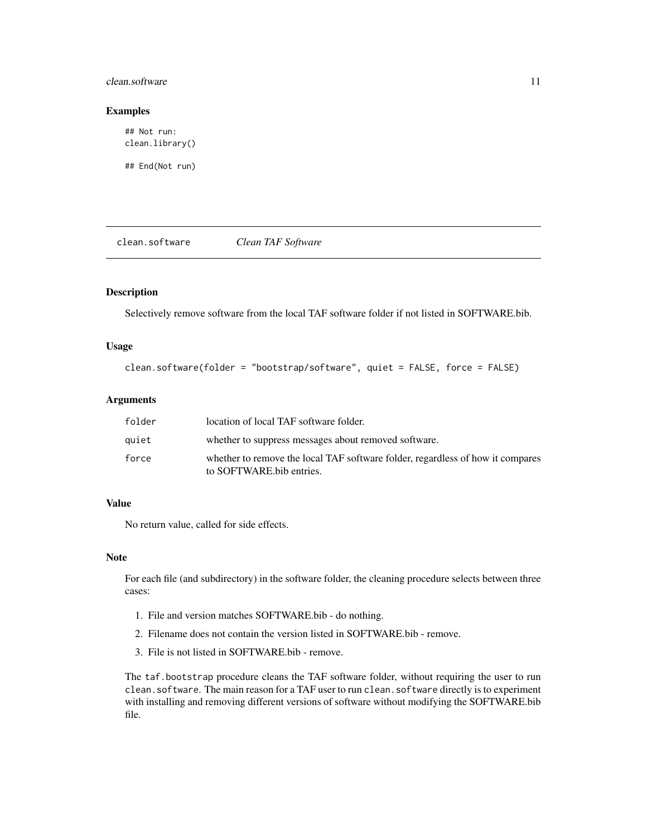#### <span id="page-10-0"></span>clean.software 11

#### Examples

## Not run: clean.library()

## End(Not run)

<span id="page-10-1"></span>clean.software *Clean TAF Software*

#### Description

Selectively remove software from the local TAF software folder if not listed in SOFTWARE.bib.

#### Usage

```
clean.software(folder = "bootstrap/software", quiet = FALSE, force = FALSE)
```
# Arguments

| folder | location of local TAF software folder.                                                                     |
|--------|------------------------------------------------------------------------------------------------------------|
| auiet  | whether to suppress messages about removed software.                                                       |
| force  | whether to remove the local TAF software folder, regardless of how it compares<br>to SOFTWARE bib entries. |

#### Value

No return value, called for side effects.

#### Note

For each file (and subdirectory) in the software folder, the cleaning procedure selects between three cases:

- 1. File and version matches SOFTWARE.bib do nothing.
- 2. Filename does not contain the version listed in SOFTWARE.bib remove.
- 3. File is not listed in SOFTWARE.bib remove.

The taf.bootstrap procedure cleans the TAF software folder, without requiring the user to run clean.software. The main reason for a TAF user to run clean.software directly is to experiment with installing and removing different versions of software without modifying the SOFTWARE.bib file.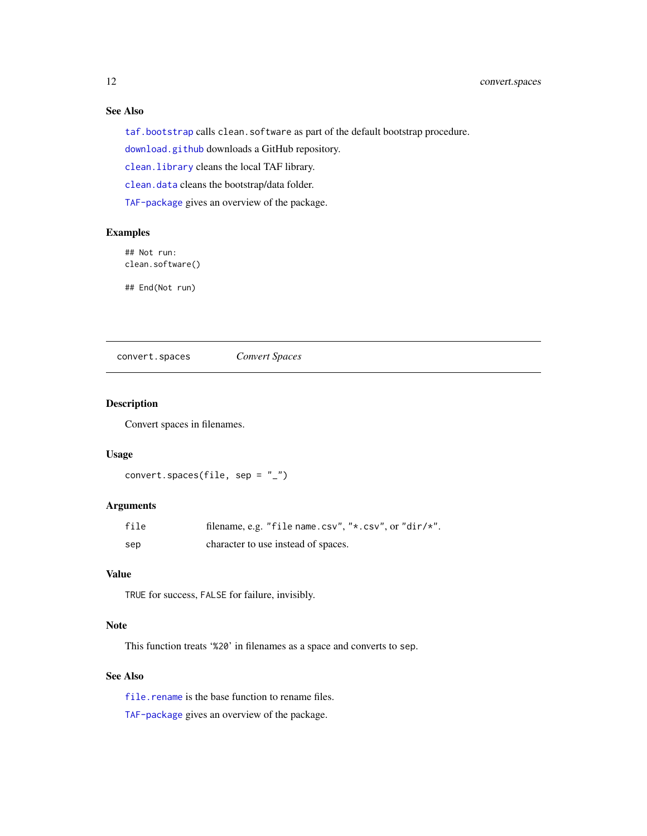# See Also

[taf.bootstrap](#page-50-1) calls clean.software as part of the default bootstrap procedure.

[download.github](#page-18-1) downloads a GitHub repository.

[clean.library](#page-9-1) cleans the local TAF library.

[clean.data](#page-8-1) cleans the bootstrap/data folder.

[TAF-package](#page-2-1) gives an overview of the package.

# Examples

## Not run: clean.software()

## End(Not run)

<span id="page-11-1"></span>convert.spaces *Convert Spaces*

# Description

Convert spaces in filenames.

#### Usage

```
convert.spaces(file, sep = "_")
```
# Arguments

| file | filename, e.g. "file name.csv", "*.csv", or "dir/*". |
|------|------------------------------------------------------|
| sep  | character to use instead of spaces.                  |

#### Value

TRUE for success, FALSE for failure, invisibly.

# Note

This function treats '%20' in filenames as a space and converts to sep.

# See Also

[file.rename](#page-0-0) is the base function to rename files.

[TAF-package](#page-2-1) gives an overview of the package.

<span id="page-11-0"></span>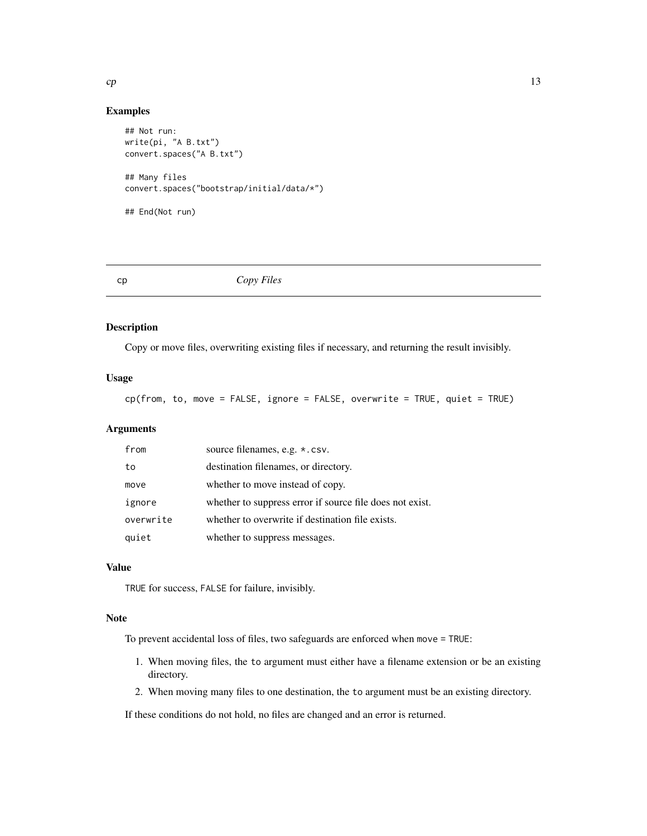# <span id="page-12-0"></span>Examples

```
## Not run:
write(pi, "A B.txt")
convert.spaces("A B.txt")
## Many files
convert.spaces("bootstrap/initial/data/*")
## End(Not run)
```
#### <span id="page-12-1"></span>cp *Copy Files*

# Description

Copy or move files, overwriting existing files if necessary, and returning the result invisibly.

#### Usage

cp(from, to, move = FALSE, ignore = FALSE, overwrite = TRUE, quiet = TRUE)

# Arguments

| from      | source filenames, e.g. *.csv.                            |
|-----------|----------------------------------------------------------|
| to        | destination filenames, or directory.                     |
| move      | whether to move instead of copy.                         |
| ignore    | whether to suppress error if source file does not exist. |
| overwrite | whether to overwrite if destination file exists.         |
| quiet     | whether to suppress messages.                            |

#### Value

TRUE for success, FALSE for failure, invisibly.

#### Note

To prevent accidental loss of files, two safeguards are enforced when move = TRUE:

- 1. When moving files, the to argument must either have a filename extension or be an existing directory.
- 2. When moving many files to one destination, the to argument must be an existing directory.

If these conditions do not hold, no files are changed and an error is returned.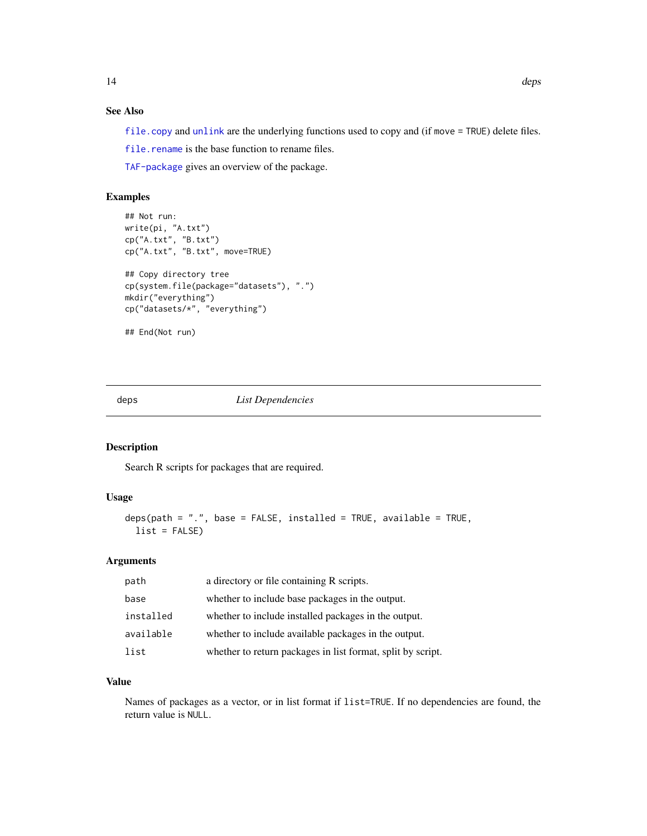# <span id="page-13-0"></span>See Also

[file.copy](#page-0-0) and [unlink](#page-0-0) are the underlying functions used to copy and (if move = TRUE) delete files.

[file.rename](#page-0-0) is the base function to rename files.

[TAF-package](#page-2-1) gives an overview of the package.

# Examples

```
## Not run:
write(pi, "A.txt")
cp("A.txt", "B.txt")
cp("A.txt", "B.txt", move=TRUE)
## Copy directory tree
cp(system.file(package="datasets"), ".")
mkdir("everything")
cp("datasets/*", "everything")
## End(Not run)
```
<span id="page-13-1"></span>deps *List Dependencies*

# Description

Search R scripts for packages that are required.

# Usage

```
deps(path = ".", base = FALSE, installed = TRUE, available = TRUE,
  list = FALSE)
```
#### Arguments

| path      | a directory or file containing R scripts.                   |
|-----------|-------------------------------------------------------------|
| base      | whether to include base packages in the output.             |
| installed | whether to include installed packages in the output.        |
| available | whether to include available packages in the output.        |
| list      | whether to return packages in list format, split by script. |

# Value

Names of packages as a vector, or in list format if list=TRUE. If no dependencies are found, the return value is NULL.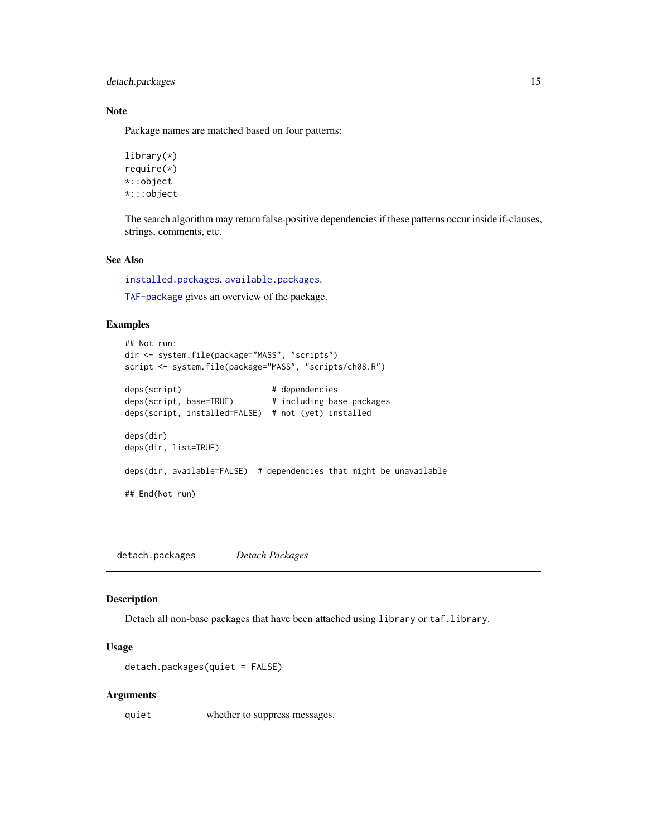<span id="page-14-0"></span>detach.packages 15

#### Note

Package names are matched based on four patterns:

library(\*) require(\*) \*::object \*:::object

The search algorithm may return false-positive dependencies if these patterns occur inside if-clauses, strings, comments, etc.

# See Also

[installed.packages](#page-0-0), [available.packages](#page-0-0).

[TAF-package](#page-2-1) gives an overview of the package.

# Examples

```
## Not run:
dir <- system.file(package="MASS", "scripts")
script <- system.file(package="MASS", "scripts/ch08.R")
deps(script) # dependence isdeps(script, base=TRUE) # including base packages
deps(script, installed=FALSE) # not (yet) installed
deps(dir)
deps(dir, list=TRUE)
deps(dir, available=FALSE) # dependencies that might be unavailable
## End(Not run)
```
<span id="page-14-1"></span>detach.packages *Detach Packages*

#### Description

Detach all non-base packages that have been attached using library or taf.library.

#### Usage

```
detach.packages(quiet = FALSE)
```
#### Arguments

quiet whether to suppress messages.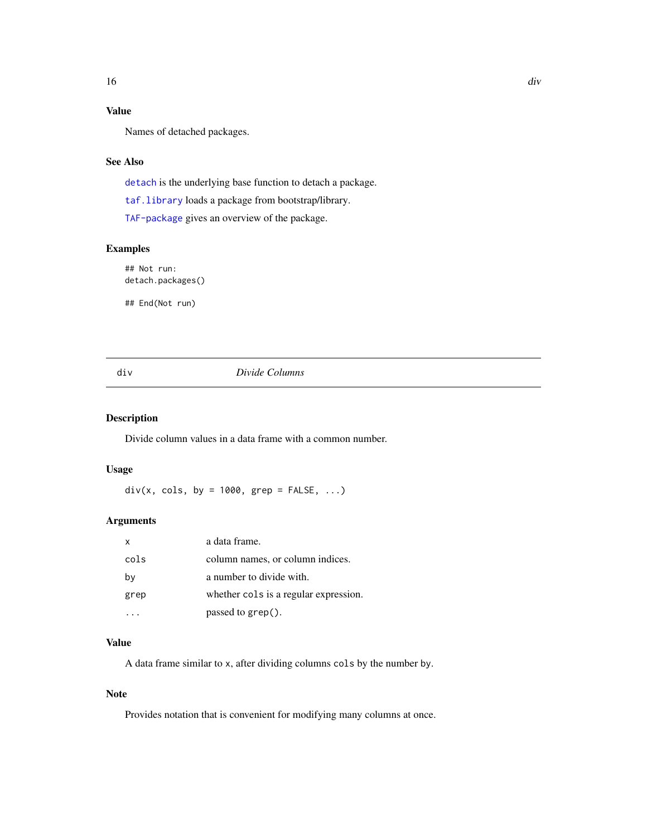# <span id="page-15-0"></span>Value

Names of detached packages.

# See Also

[detach](#page-0-0) is the underlying base function to detach a package.

[taf.library](#page-55-1) loads a package from bootstrap/library.

[TAF-package](#page-2-1) gives an overview of the package.

# Examples

## Not run: detach.packages()

## End(Not run)

#### <span id="page-15-1"></span>div *Divide Columns*

#### Description

Divide column values in a data frame with a common number.

# Usage

 $div(x, \text{cols}, \text{ by } = 1000, \text{ grey} = \text{FALSE}, \dots)$ 

# Arguments

| X    | a data frame.                         |
|------|---------------------------------------|
| cols | column names, or column indices.      |
| bγ   | a number to divide with.              |
| grep | whether cols is a regular expression. |
|      | passed to grep().                     |

# Value

A data frame similar to x, after dividing columns cols by the number by.

#### Note

Provides notation that is convenient for modifying many columns at once.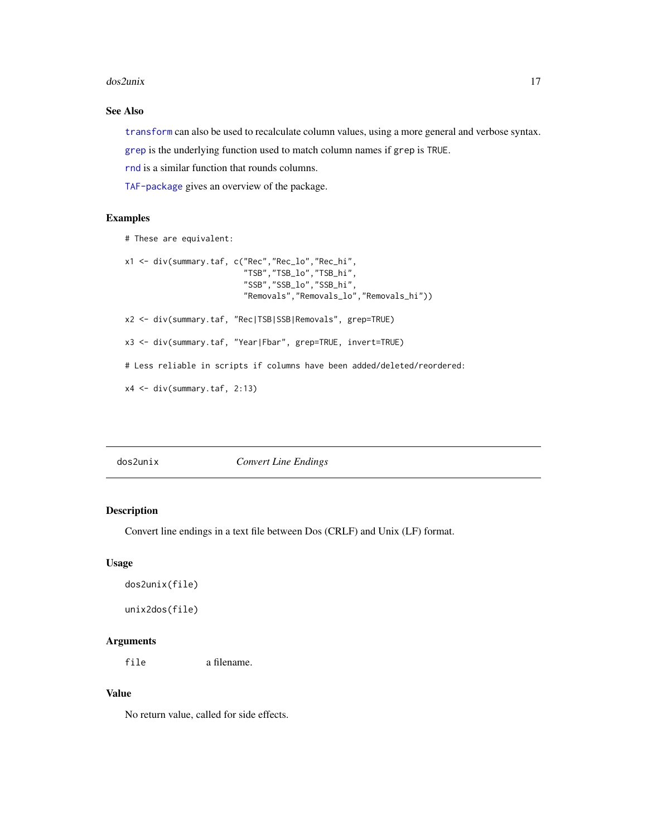#### <span id="page-16-0"></span>dos2unix 17

# See Also

[transform](#page-0-0) can also be used to recalculate column values, using a more general and verbose syntax. [grep](#page-0-0) is the underlying function used to match column names if grep is TRUE.

[rnd](#page-42-1) is a similar function that rounds columns.

[TAF-package](#page-2-1) gives an overview of the package.

#### Examples

```
# These are equivalent:
x1 <- div(summary.taf, c("Rec","Rec_lo","Rec_hi",
                         "TSB","TSB_lo","TSB_hi",
                         "SSB","SSB_lo","SSB_hi",
                         "Removals","Removals_lo","Removals_hi"))
x2 <- div(summary.taf, "Rec|TSB|SSB|Removals", grep=TRUE)
x3 <- div(summary.taf, "Year|Fbar", grep=TRUE, invert=TRUE)
# Less reliable in scripts if columns have been added/deleted/reordered:
x4 <- div(summary.taf, 2:13)
```
<span id="page-16-1"></span>

# <span id="page-16-2"></span>Description

Convert line endings in a text file between Dos (CRLF) and Unix (LF) format.

# Usage

```
dos2unix(file)
```
unix2dos(file)

#### Arguments

file a filename.

#### Value

No return value, called for side effects.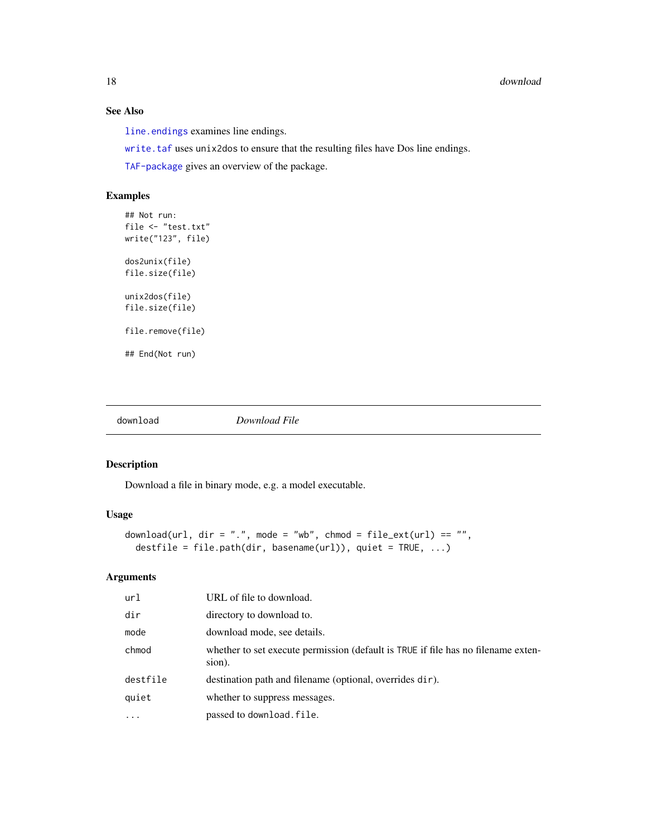# See Also

[line.endings](#page-28-1) examines line endings.

[write.taf](#page-64-1) uses unix2dos to ensure that the resulting files have Dos line endings.

[TAF-package](#page-2-1) gives an overview of the package.

# Examples

```
## Not run:
file <- "test.txt"
write("123", file)
dos2unix(file)
file.size(file)
unix2dos(file)
file.size(file)
file.remove(file)
## End(Not run)
```
<span id="page-17-1"></span>

download *Download File*

# Description

Download a file in binary mode, e.g. a model executable.

# Usage

```
download(url, dir = ".", mode = "wb", chmod = file_ext(url) == "",
 destfile = file.path(dir, basename(url)), quiet = TRUE, ...)
```
# Arguments

| url       | URL of file to download.                                                                    |
|-----------|---------------------------------------------------------------------------------------------|
| dir       | directory to download to.                                                                   |
| mode      | download mode, see details.                                                                 |
| chmod     | whether to set execute permission (default is TRUE if file has no filename exten-<br>sion). |
| destfile  | destination path and filename (optional, overrides dir).                                    |
| quiet     | whether to suppress messages.                                                               |
| $\ddotsc$ | passed to download.file.                                                                    |

<span id="page-17-0"></span>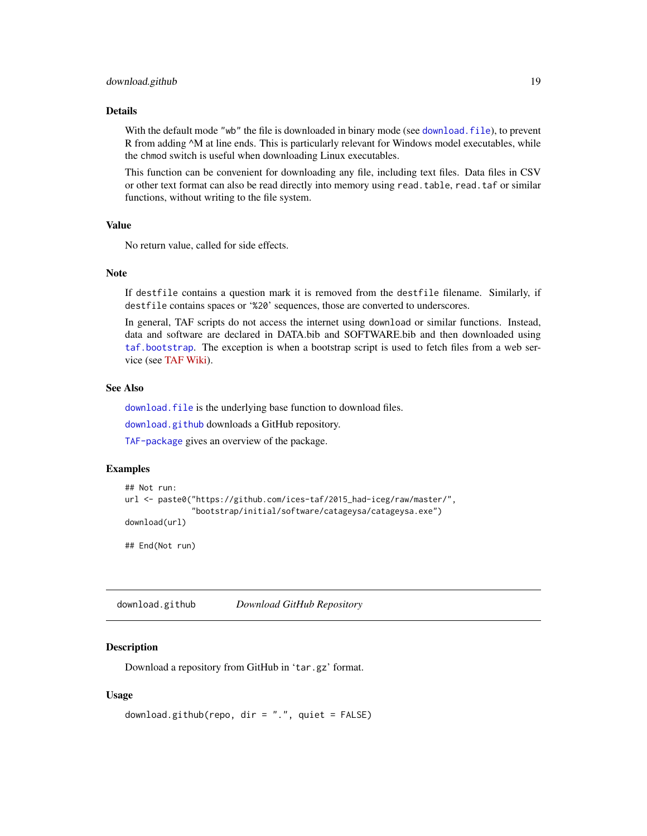#### <span id="page-18-0"></span>Details

With the default mode "wb" the file is downloaded in binary mode (see download, file), to prevent R from adding  $\Delta M$  at line ends. This is particularly relevant for Windows model executables, while the chmod switch is useful when downloading Linux executables.

This function can be convenient for downloading any file, including text files. Data files in CSV or other text format can also be read directly into memory using read.table, read.taf or similar functions, without writing to the file system.

#### Value

No return value, called for side effects.

#### **Note**

If destfile contains a question mark it is removed from the destfile filename. Similarly, if destfile contains spaces or '%20' sequences, those are converted to underscores.

In general, TAF scripts do not access the internet using download or similar functions. Instead, data and software are declared in DATA.bib and SOFTWARE.bib and then downloaded using [taf.bootstrap](#page-50-1). The exception is when a bootstrap script is used to fetch files from a web service (see [TAF Wiki\)](https://github.com/ices-taf/doc/wiki/Bib-entries).

#### See Also

download. file is the underlying base function to download files.

[download.github](#page-18-1) downloads a GitHub repository.

[TAF-package](#page-2-1) gives an overview of the package.

#### Examples

```
## Not run:
url <- paste0("https://github.com/ices-taf/2015_had-iceg/raw/master/",
              "bootstrap/initial/software/catageysa/catageysa.exe")
download(url)
## End(Not run)
```
<span id="page-18-1"></span>download.github *Download GitHub Repository*

# **Description**

Download a repository from GitHub in 'tar.gz' format.

#### Usage

```
download.github(repo, dir = ".", quiet = FALSE)
```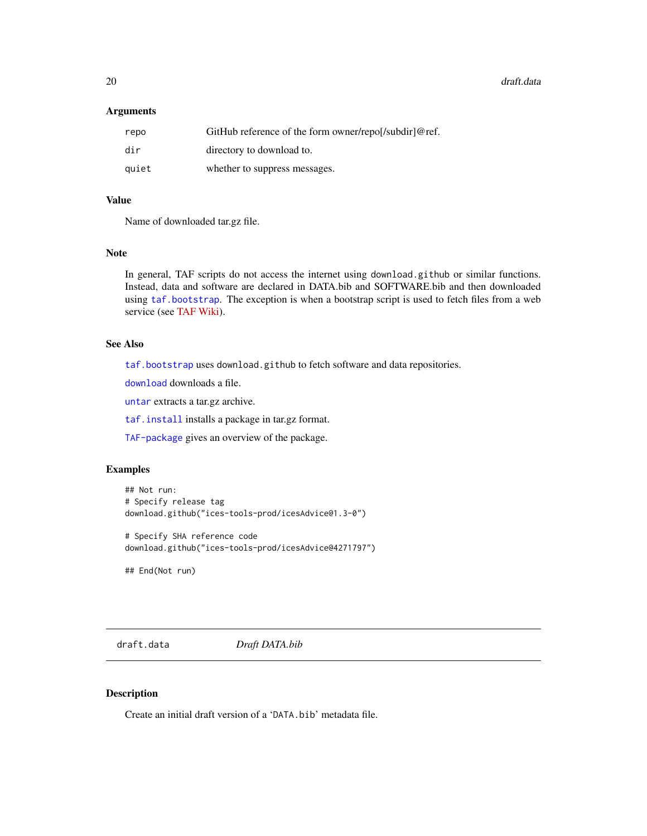<span id="page-19-0"></span>20 draft.data and the control of the control of the control of the control of the control of the control of the control of the control of the control of the control of the control of the control of the control of the contr

#### Arguments

| repo  | GitHub reference of the form owner/repol/subdir]@ref. |
|-------|-------------------------------------------------------|
| dir   | directory to download to.                             |
| auiet | whether to suppress messages.                         |

#### Value

Name of downloaded tar.gz file.

#### Note

In general, TAF scripts do not access the internet using download.github or similar functions. Instead, data and software are declared in DATA.bib and SOFTWARE.bib and then downloaded using [taf.bootstrap](#page-50-1). The exception is when a bootstrap script is used to fetch files from a web service (see [TAF Wiki\)](https://github.com/ices-taf/doc/wiki/Bib-entries).

# See Also

[taf.bootstrap](#page-50-1) uses download.github to fetch software and data repositories.

[download](#page-17-1) downloads a file.

[untar](#page-0-0) extracts a tar.gz archive.

[taf.install](#page-53-1) installs a package in tar.gz format.

[TAF-package](#page-2-1) gives an overview of the package.

# Examples

```
## Not run:
# Specify release tag
download.github("ices-tools-prod/icesAdvice@1.3-0")
# Specify SHA reference code
```

```
download.github("ices-tools-prod/icesAdvice@4271797")
```
## End(Not run)

<span id="page-19-1"></span>draft.data *Draft DATA.bib*

#### Description

Create an initial draft version of a 'DATA.bib' metadata file.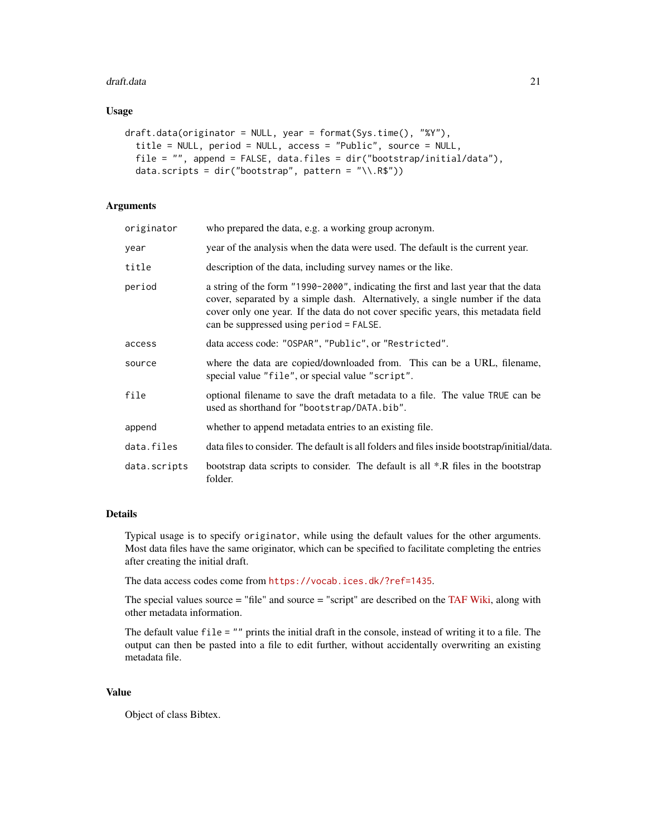#### draft.data 21

#### Usage

```
draft.data(originator = NULL, year = format(Sys.time(), "%Y"),
  title = NULL, period = NULL, access = "Public", source = NULL,
 file = "", append = FALSE, data.files = dir("bootstrap/initial/data"),
 data.scripts = dir("bootstrap", pattern = "\\.R$"))
```
# Arguments

| originator   | who prepared the data, e.g. a working group acronym.                                                                                                                                                                                                                                                |
|--------------|-----------------------------------------------------------------------------------------------------------------------------------------------------------------------------------------------------------------------------------------------------------------------------------------------------|
| year         | year of the analysis when the data were used. The default is the current year.                                                                                                                                                                                                                      |
| title        | description of the data, including survey names or the like.                                                                                                                                                                                                                                        |
| period       | a string of the form "1990-2000", indicating the first and last year that the data<br>cover, separated by a simple dash. Alternatively, a single number if the data<br>cover only one year. If the data do not cover specific years, this metadata field<br>can be suppressed using period = FALSE. |
| access       | data access code: "OSPAR", "Public", or "Restricted".                                                                                                                                                                                                                                               |
| source       | where the data are copied/downloaded from. This can be a URL, filename,<br>special value "file", or special value "script".                                                                                                                                                                         |
| file         | optional filename to save the draft metadata to a file. The value TRUE can be<br>used as shorthand for "bootstrap/DATA.bib".                                                                                                                                                                        |
| append       | whether to append metadata entries to an existing file.                                                                                                                                                                                                                                             |
| data.files   | data files to consider. The default is all folders and files inside bootstrap/initial/data.                                                                                                                                                                                                         |
| data.scripts | bootstrap data scripts to consider. The default is all *.R files in the bootstrap<br>folder.                                                                                                                                                                                                        |

# Details

Typical usage is to specify originator, while using the default values for the other arguments. Most data files have the same originator, which can be specified to facilitate completing the entries after creating the initial draft.

The data access codes come from <https://vocab.ices.dk/?ref=1435>.

The special values source  $=$  "file" and source  $=$  "script" are described on the [TAF Wiki,](https://github.com/ices-taf/doc/wiki/Bib-entries) along with other metadata information.

The default value file = "" prints the initial draft in the console, instead of writing it to a file. The output can then be pasted into a file to edit further, without accidentally overwriting an existing metadata file.

# Value

Object of class Bibtex.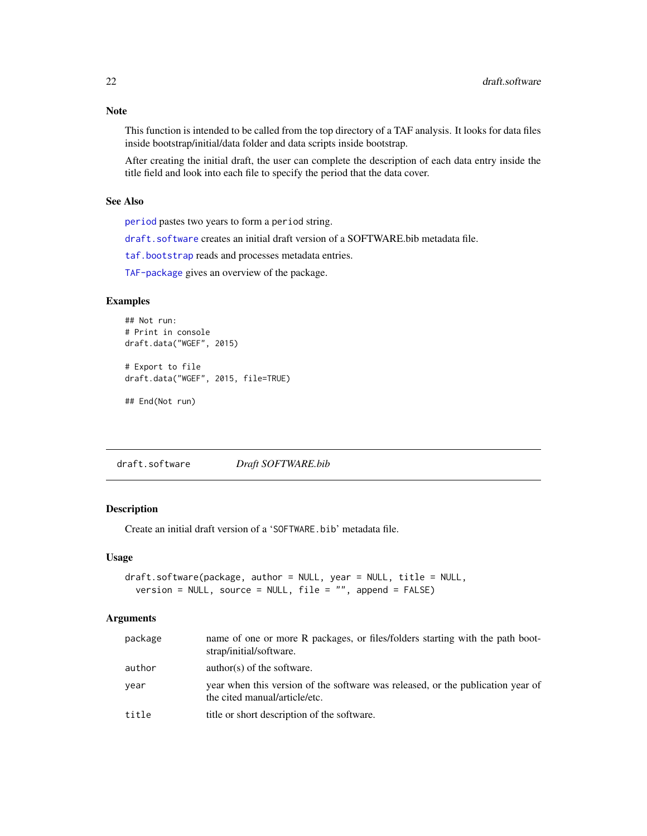# <span id="page-21-0"></span>Note

This function is intended to be called from the top directory of a TAF analysis. It looks for data files inside bootstrap/initial/data folder and data scripts inside bootstrap.

After creating the initial draft, the user can complete the description of each data entry inside the title field and look into each file to specify the period that the data cover.

#### See Also

[period](#page-36-1) pastes two years to form a period string.

[draft.software](#page-21-1) creates an initial draft version of a SOFTWARE.bib metadata file.

[taf.bootstrap](#page-50-1) reads and processes metadata entries.

[TAF-package](#page-2-1) gives an overview of the package.

# Examples

```
## Not run:
# Print in console
draft.data("WGEF", 2015)
# Export to file
draft.data("WGEF", 2015, file=TRUE)
```
## End(Not run)

<span id="page-21-1"></span>draft.software *Draft SOFTWARE.bib*

# Description

Create an initial draft version of a 'SOFTWARE.bib' metadata file.

# Usage

```
draft.software(package, author = NULL, year = NULL, title = NULL,
  version = NULL, source = NULL, file = "", append = FALSE)
```
#### Arguments

| package | name of one or more R packages, or files/folders starting with the path boot-<br>strap/initial/software.         |
|---------|------------------------------------------------------------------------------------------------------------------|
| author  | $\text{author}(s)$ of the software.                                                                              |
| year    | year when this version of the software was released, or the publication year of<br>the cited manual/article/etc. |
| title   | title or short description of the software.                                                                      |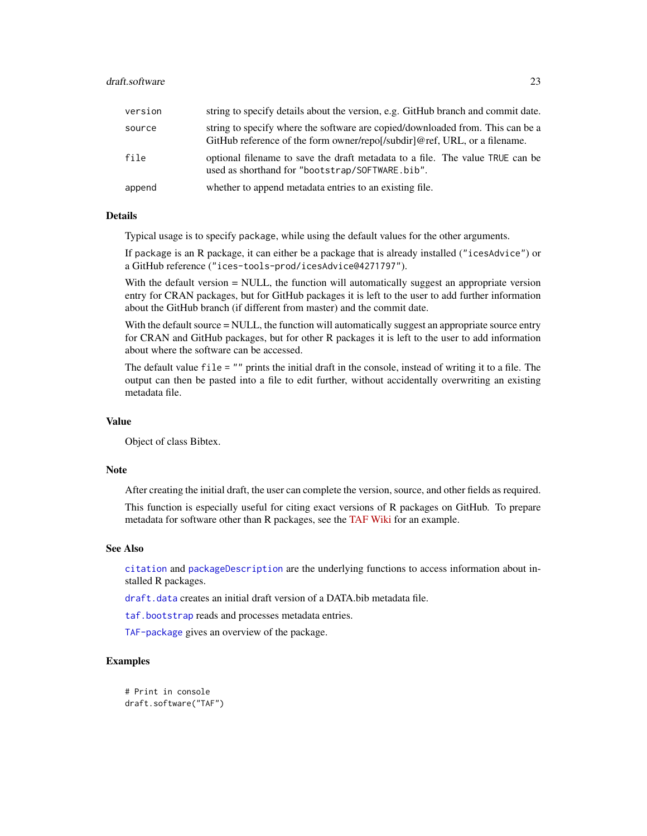# <span id="page-22-0"></span>draft.software 23

| version | string to specify details about the version, e.g. GitHub branch and commit date.                                                                            |
|---------|-------------------------------------------------------------------------------------------------------------------------------------------------------------|
| source  | string to specify where the software are copied/downloaded from. This can be a<br>GitHub reference of the form owner/repol/subdirl@ref, URL, or a filename. |
| file    | optional filename to save the draft metadata to a file. The value TRUE can be<br>used as shorthand for "bootstrap/SOFTWARE.bib".                            |
| append  | whether to append metadata entries to an existing file.                                                                                                     |

# Details

Typical usage is to specify package, while using the default values for the other arguments.

If package is an R package, it can either be a package that is already installed ("icesAdvice") or a GitHub reference ("ices-tools-prod/icesAdvice@4271797").

With the default version = NULL, the function will automatically suggest an appropriate version entry for CRAN packages, but for GitHub packages it is left to the user to add further information about the GitHub branch (if different from master) and the commit date.

With the default source = NULL, the function will automatically suggest an appropriate source entry for CRAN and GitHub packages, but for other R packages it is left to the user to add information about where the software can be accessed.

The default value file = "" prints the initial draft in the console, instead of writing it to a file. The output can then be pasted into a file to edit further, without accidentally overwriting an existing metadata file.

# Value

Object of class Bibtex.

#### Note

After creating the initial draft, the user can complete the version, source, and other fields as required.

This function is especially useful for citing exact versions of R packages on GitHub. To prepare metadata for software other than R packages, see the [TAF Wiki](https://github.com/ices-taf/doc/wiki/Bib-entries) for an example.

#### See Also

[citation](#page-0-0) and [packageDescription](#page-0-0) are the underlying functions to access information about installed R packages.

[draft.data](#page-19-1) creates an initial draft version of a DATA.bib metadata file.

[taf.bootstrap](#page-50-1) reads and processes metadata entries.

[TAF-package](#page-2-1) gives an overview of the package.

# Examples

```
# Print in console
draft.software("TAF")
```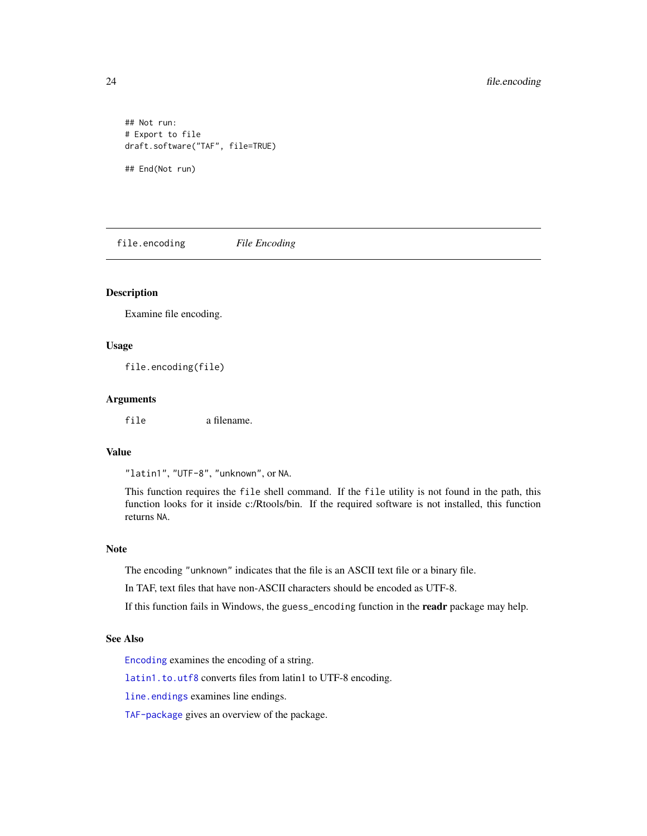```
## Not run:
# Export to file
draft.software("TAF", file=TRUE)
## End(Not run)
```
<span id="page-23-1"></span>file.encoding *File Encoding*

#### Description

Examine file encoding.

#### Usage

file.encoding(file)

#### **Arguments**

file a filename.

# Value

"latin1", "UTF-8", "unknown", or NA.

This function requires the file shell command. If the file utility is not found in the path, this function looks for it inside c:/Rtools/bin. If the required software is not installed, this function returns NA.

#### Note

The encoding "unknown" indicates that the file is an ASCII text file or a binary file.

In TAF, text files that have non-ASCII characters should be encoded as UTF-8.

If this function fails in Windows, the guess\_encoding function in the readr package may help.

#### See Also

[Encoding](#page-0-0) examines the encoding of a string.

[latin1.to.utf8](#page-26-2) converts files from latin1 to UTF-8 encoding.

[line.endings](#page-28-1) examines line endings.

[TAF-package](#page-2-1) gives an overview of the package.

<span id="page-23-0"></span>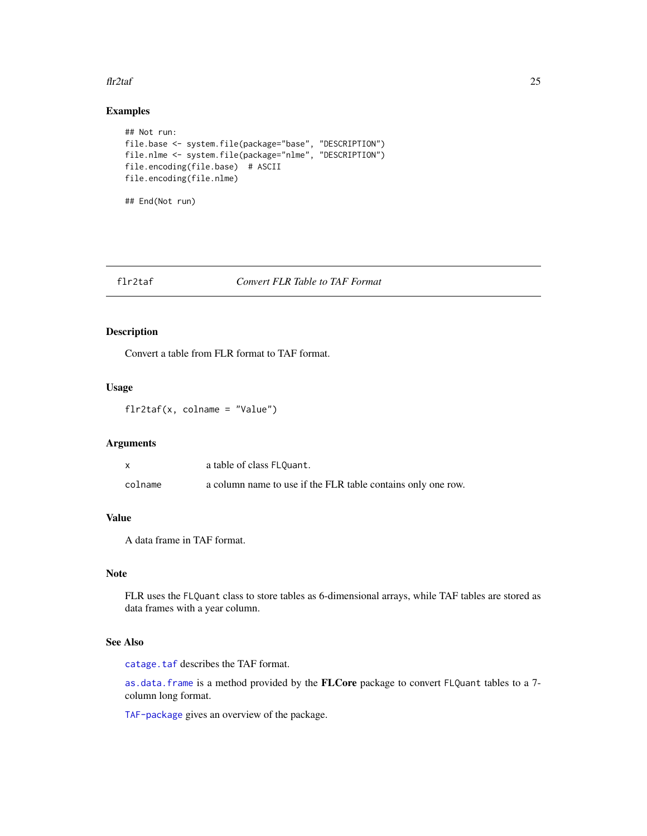#### <span id="page-24-0"></span> $\int$ flr2taf 25

# Examples

```
## Not run:
file.base <- system.file(package="base", "DESCRIPTION")
file.nlme <- system.file(package="nlme", "DESCRIPTION")
file.encoding(file.base) # ASCII
file.encoding(file.nlme)
## End(Not run)
```
<span id="page-24-1"></span>

# flr2taf *Convert FLR Table to TAF Format*

# Description

Convert a table from FLR format to TAF format.

# Usage

flr2taf(x, colname = "Value")

# Arguments

|         | a table of class FLQuant.                                    |
|---------|--------------------------------------------------------------|
| colname | a column name to use if the FLR table contains only one row. |

# Value

A data frame in TAF format.

#### Note

FLR uses the FLQuant class to store tables as 6-dimensional arrays, while TAF tables are stored as data frames with a year column.

# See Also

[catage.taf](#page-5-1) describes the TAF format.

[as.data.frame](#page-0-0) is a method provided by the FLCore package to convert FLQuant tables to a 7 column long format.

[TAF-package](#page-2-1) gives an overview of the package.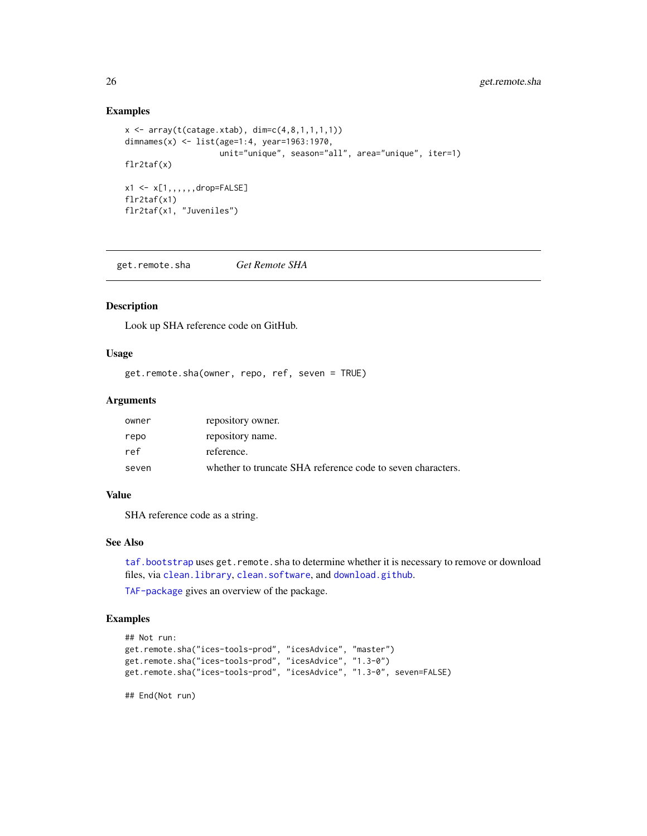#### Examples

```
x \le -\arctan(t(\text{catage}.xtab), \text{dim=c}(4,8,1,1,1,1))dimnames(x) <- list(age=1:4, year=1963:1970,
                      unit="unique", season="all", area="unique", iter=1)
flr2taf(x)
x1 \leftarrow x[1, , , , ,drop=FALSE]
flr2taf(x1)
flr2taf(x1, "Juveniles")
```
<span id="page-25-1"></span>get.remote.sha *Get Remote SHA*

#### Description

Look up SHA reference code on GitHub.

# Usage

get.remote.sha(owner, repo, ref, seven = TRUE)

#### **Arguments**

| owner | repository owner.                                           |
|-------|-------------------------------------------------------------|
| repo  | repository name.                                            |
| ref   | reference.                                                  |
| seven | whether to truncate SHA reference code to seven characters. |

#### Value

SHA reference code as a string.

#### See Also

[taf.bootstrap](#page-50-1) uses get.remote.sha to determine whether it is necessary to remove or download files, via [clean.library](#page-9-1), [clean.software](#page-10-1), and [download.github](#page-18-1).

[TAF-package](#page-2-1) gives an overview of the package.

#### Examples

```
## Not run:
get.remote.sha("ices-tools-prod", "icesAdvice", "master")
get.remote.sha("ices-tools-prod", "icesAdvice", "1.3-0")
get.remote.sha("ices-tools-prod", "icesAdvice", "1.3-0", seven=FALSE)
```
<span id="page-25-0"></span>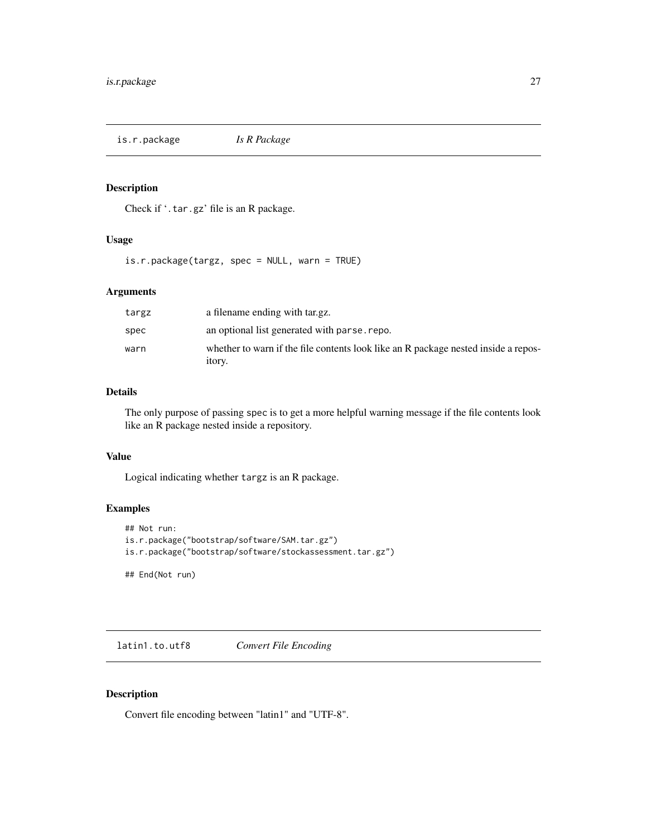<span id="page-26-1"></span><span id="page-26-0"></span>is.r.package *Is R Package*

#### Description

Check if '.tar.gz' file is an R package.

# Usage

is.r.package(targz, spec = NULL, warn = TRUE)

#### Arguments

| targz | a filename ending with tar.gz.                                                                      |
|-------|-----------------------------------------------------------------------------------------------------|
| spec  | an optional list generated with parse, repo.                                                        |
| warn  | whether to warn if the file contents look like an R package nested inside a repos-<br><i>itory.</i> |

# Details

The only purpose of passing spec is to get a more helpful warning message if the file contents look like an R package nested inside a repository.

# Value

Logical indicating whether targz is an R package.

# Examples

```
## Not run:
is.r.package("bootstrap/software/SAM.tar.gz")
is.r.package("bootstrap/software/stockassessment.tar.gz")
```
## End(Not run)

<span id="page-26-2"></span>latin1.to.utf8 *Convert File Encoding*

# <span id="page-26-3"></span>Description

Convert file encoding between "latin1" and "UTF-8".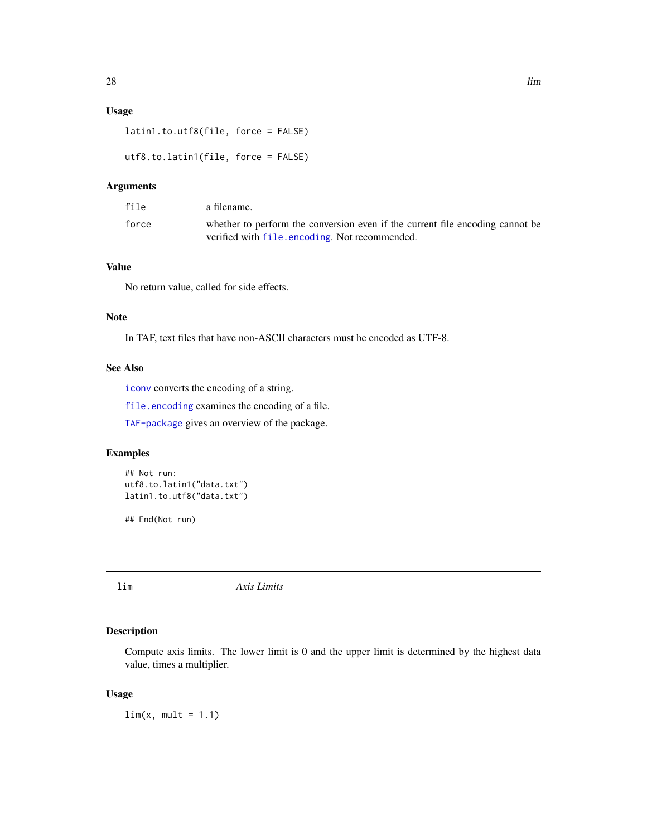# <span id="page-27-0"></span>Usage

```
latin1.to.utf8(file, force = FALSE)
```

```
utf8.to.latin1(file, force = FALSE)
```
# Arguments

| file  | a filename.                                                                   |
|-------|-------------------------------------------------------------------------------|
| force | whether to perform the conversion even if the current file encoding cannot be |
|       | verified with file, encoding. Not recommended.                                |

# Value

No return value, called for side effects.

#### Note

In TAF, text files that have non-ASCII characters must be encoded as UTF-8.

#### See Also

[iconv](#page-0-0) converts the encoding of a string.

[file.encoding](#page-23-1) examines the encoding of a file.

[TAF-package](#page-2-1) gives an overview of the package.

# Examples

```
## Not run:
utf8.to.latin1("data.txt")
latin1.to.utf8("data.txt")
```
## End(Not run)

<span id="page-27-1"></span>lim *Axis Limits*

# Description

Compute axis limits. The lower limit is 0 and the upper limit is determined by the highest data value, times a multiplier.

#### Usage

 $\lim(x, \text{ mult } = 1.1)$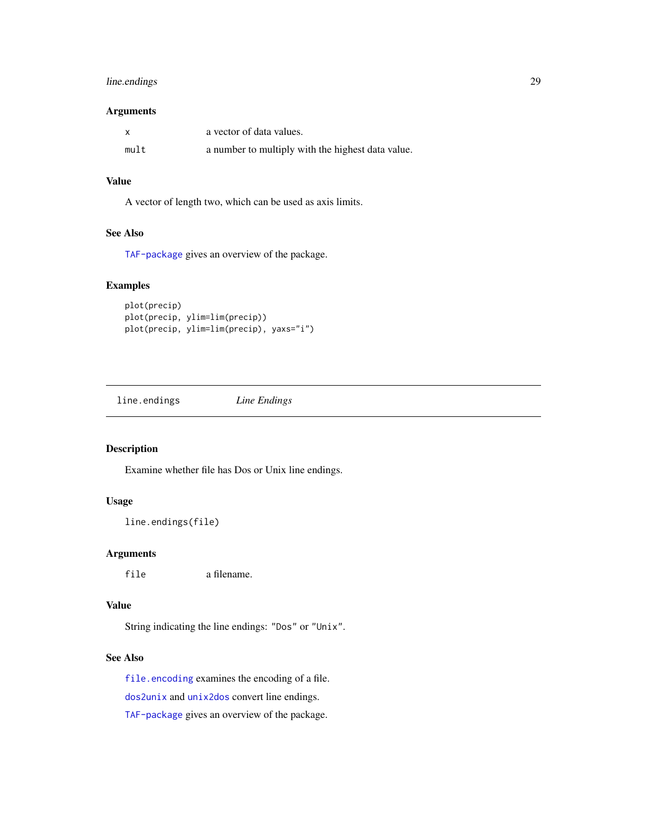# <span id="page-28-0"></span>line.endings 29

#### Arguments

|      | a vector of data values.                          |
|------|---------------------------------------------------|
| mult | a number to multiply with the highest data value. |

# Value

A vector of length two, which can be used as axis limits.

# See Also

[TAF-package](#page-2-1) gives an overview of the package.

# Examples

```
plot(precip)
plot(precip, ylim=lim(precip))
plot(precip, ylim=lim(precip), yaxs="i")
```
<span id="page-28-1"></span>line.endings *Line Endings*

# Description

Examine whether file has Dos or Unix line endings.

# Usage

```
line.endings(file)
```
#### Arguments

file a filename.

#### Value

String indicating the line endings: "Dos" or "Unix".

#### See Also

[file.encoding](#page-23-1) examines the encoding of a file.

[dos2unix](#page-16-1) and [unix2dos](#page-16-2) convert line endings.

[TAF-package](#page-2-1) gives an overview of the package.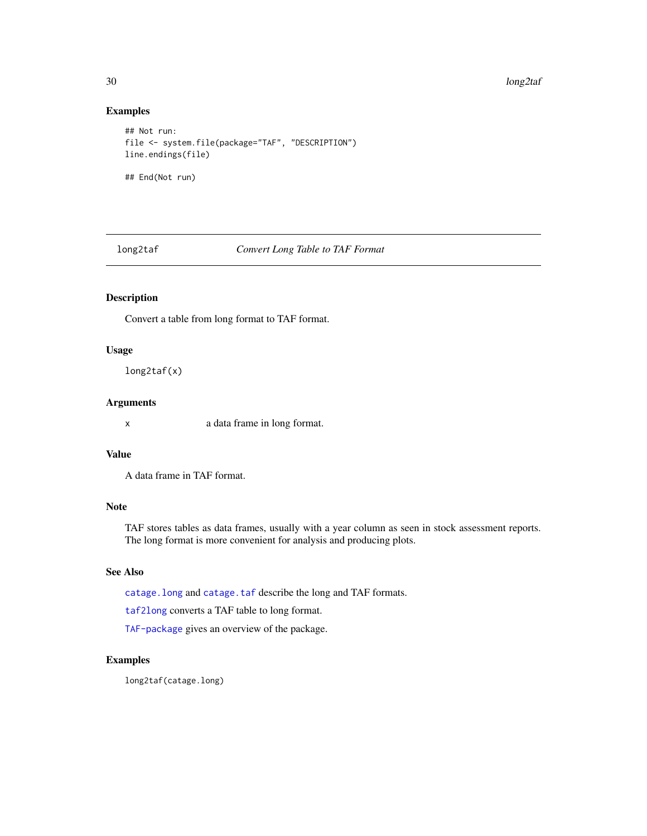30 long2taf

# Examples

```
## Not run:
file <- system.file(package="TAF", "DESCRIPTION")
line.endings(file)
## End(Not run)
```
<span id="page-29-1"></span>long2taf *Convert Long Table to TAF Format*

# Description

Convert a table from long format to TAF format.

#### Usage

long2taf(x)

#### Arguments

x a data frame in long format.

#### Value

A data frame in TAF format.

# Note

TAF stores tables as data frames, usually with a year column as seen in stock assessment reports. The long format is more convenient for analysis and producing plots.

# See Also

[catage.long](#page-4-1) and [catage.taf](#page-5-1) describe the long and TAF formats.

[taf2long](#page-61-1) converts a TAF table to long format.

[TAF-package](#page-2-1) gives an overview of the package.

# Examples

long2taf(catage.long)

<span id="page-29-0"></span>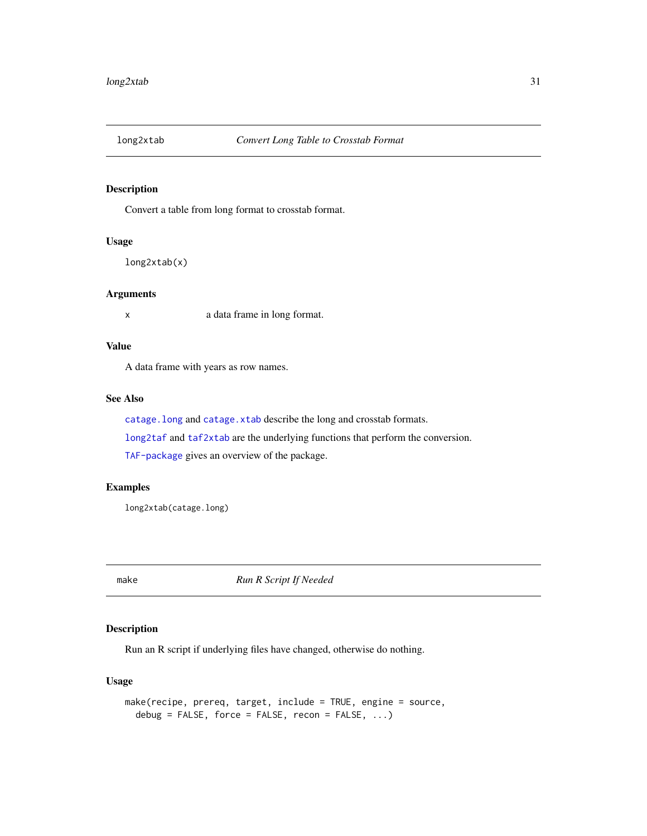<span id="page-30-2"></span><span id="page-30-0"></span>

Convert a table from long format to crosstab format.

#### Usage

long2xtab(x)

# Arguments

x a data frame in long format.

# Value

A data frame with years as row names.

#### See Also

[catage.long](#page-4-1) and [catage.xtab](#page-6-1) describe the long and crosstab formats.

[long2taf](#page-29-1) and [taf2xtab](#page-62-1) are the underlying functions that perform the conversion.

[TAF-package](#page-2-1) gives an overview of the package.

# Examples

long2xtab(catage.long)

<span id="page-30-1"></span>make *Run R Script If Needed*

# Description

Run an R script if underlying files have changed, otherwise do nothing.

#### Usage

```
make(recipe, prereq, target, include = TRUE, engine = source,
  debug = FALSE, force = FALSE, recon = FALSE, \ldots)
```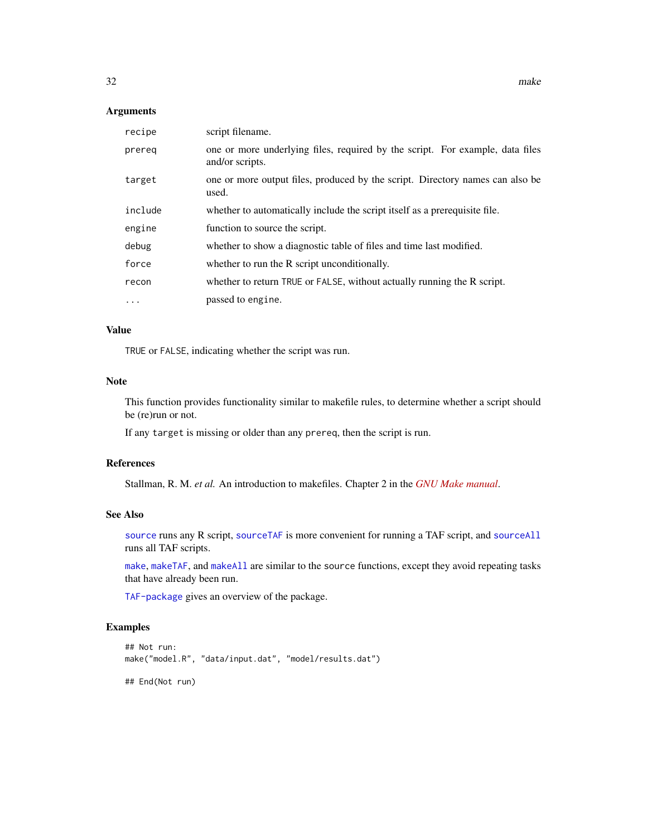#### <span id="page-31-0"></span>Arguments

| recipe  | script filename.                                                                                 |
|---------|--------------------------------------------------------------------------------------------------|
| prereg  | one or more underlying files, required by the script. For example, data files<br>and/or scripts. |
| target  | one or more output files, produced by the script. Directory names can also be<br>used.           |
| include | whether to automatically include the script itself as a prerequisite file.                       |
| engine  | function to source the script.                                                                   |
| debug   | whether to show a diagnostic table of files and time last modified.                              |
| force   | whether to run the R script unconditionally.                                                     |
| recon   | whether to return TRUE or FALSE, without actually running the R script.                          |
| .       | passed to engine.                                                                                |

# Value

TRUE or FALSE, indicating whether the script was run.

#### Note

This function provides functionality similar to makefile rules, to determine whether a script should be (re)run or not.

If any target is missing or older than any prereq, then the script is run.

# References

Stallman, R. M. *et al.* An introduction to makefiles. Chapter 2 in the *[GNU Make manual](https://www.gnu.org/software/make/manual/make.pdf)*.

#### See Also

[source](#page-0-0) runs any R script, [sourceTAF](#page-46-1) is more convenient for running a TAF script, and [sourceAll](#page-44-1) runs all TAF scripts.

[make](#page-30-1), [makeTAF](#page-33-1), and [makeAll](#page-32-1) are similar to the source functions, except they avoid repeating tasks that have already been run.

[TAF-package](#page-2-1) gives an overview of the package.

# Examples

```
## Not run:
make("model.R", "data/input.dat", "model/results.dat")
```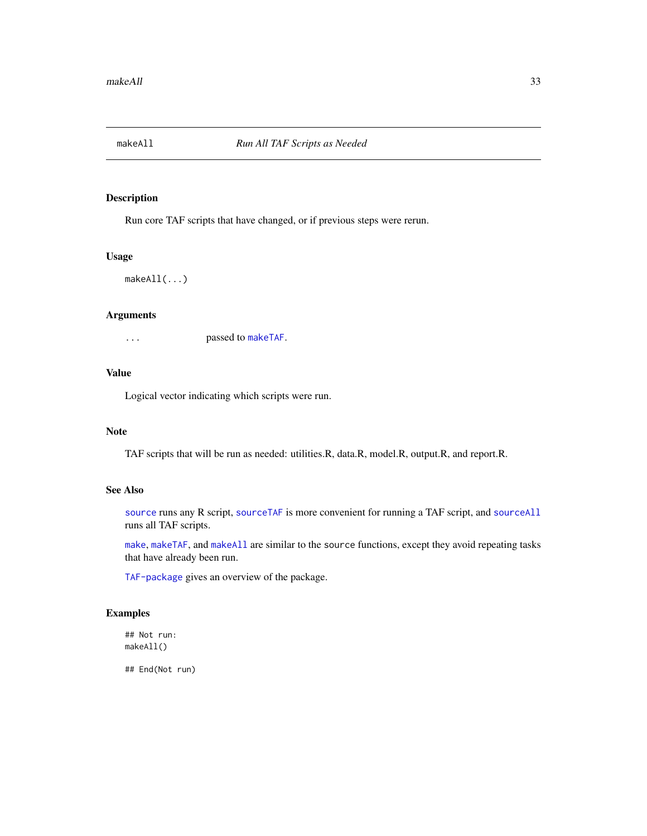<span id="page-32-1"></span><span id="page-32-0"></span>

Run core TAF scripts that have changed, or if previous steps were rerun.

# Usage

makeAll(...)

#### Arguments

... passed to [makeTAF](#page-33-1).

#### Value

Logical vector indicating which scripts were run.

#### Note

TAF scripts that will be run as needed: utilities.R, data.R, model.R, output.R, and report.R.

#### See Also

[source](#page-0-0) runs any R script, [sourceTAF](#page-46-1) is more convenient for running a TAF script, and [sourceAll](#page-44-1) runs all TAF scripts.

[make](#page-30-1), [makeTAF](#page-33-1), and [makeAll](#page-32-1) are similar to the source functions, except they avoid repeating tasks that have already been run.

[TAF-package](#page-2-1) gives an overview of the package.

# Examples

```
## Not run:
makeAll()
```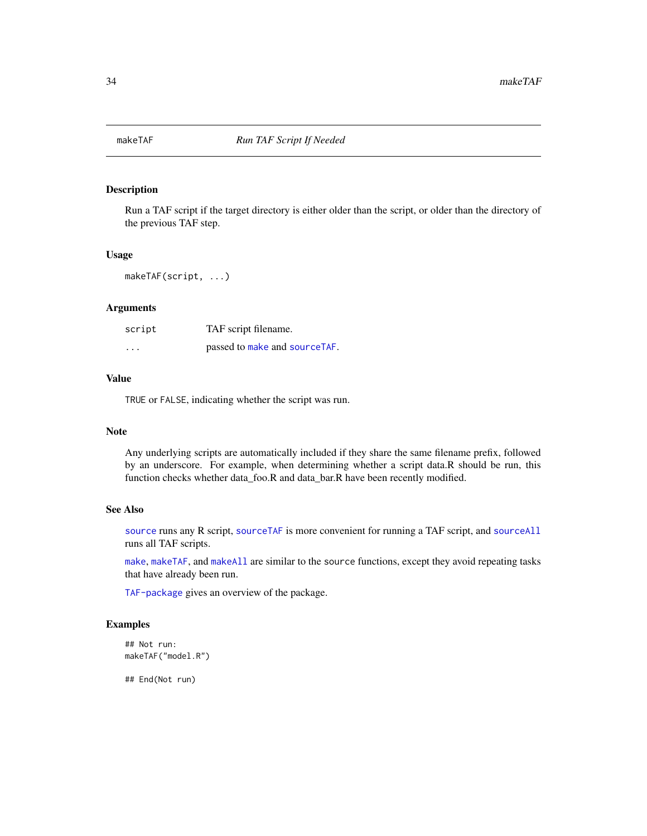<span id="page-33-1"></span><span id="page-33-0"></span>

Run a TAF script if the target directory is either older than the script, or older than the directory of the previous TAF step.

# Usage

makeTAF(script, ...)

# Arguments

| script            | TAF script filename.          |
|-------------------|-------------------------------|
| $\cdot\cdot\cdot$ | passed to make and sourceTAF. |

#### Value

TRUE or FALSE, indicating whether the script was run.

#### Note

Any underlying scripts are automatically included if they share the same filename prefix, followed by an underscore. For example, when determining whether a script data.R should be run, this function checks whether data\_foo.R and data\_bar.R have been recently modified.

#### See Also

[source](#page-0-0) runs any R script, [sourceTAF](#page-46-1) is more convenient for running a TAF script, and [sourceAll](#page-44-1) runs all TAF scripts.

[make](#page-30-1), [makeTAF](#page-33-1), and [makeAll](#page-32-1) are similar to the source functions, except they avoid repeating tasks that have already been run.

[TAF-package](#page-2-1) gives an overview of the package.

# Examples

## Not run: makeTAF("model.R")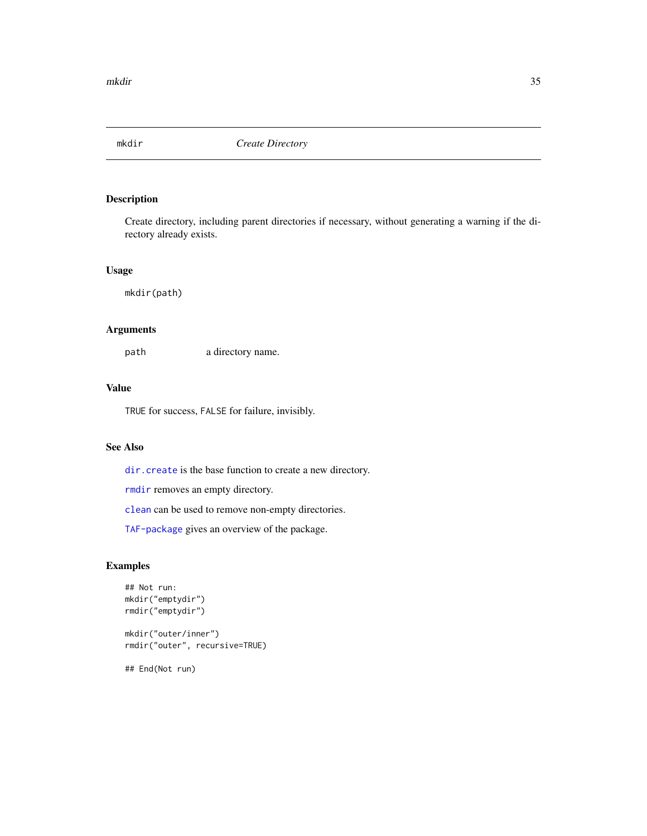<span id="page-34-1"></span><span id="page-34-0"></span>

Create directory, including parent directories if necessary, without generating a warning if the directory already exists.

#### Usage

mkdir(path)

#### Arguments

path a directory name.

# Value

TRUE for success, FALSE for failure, invisibly.

# See Also

[dir.create](#page-0-0) is the base function to create a new directory.

[rmdir](#page-41-1) removes an empty directory.

[clean](#page-7-1) can be used to remove non-empty directories.

[TAF-package](#page-2-1) gives an overview of the package.

# Examples

```
## Not run:
mkdir("emptydir")
rmdir("emptydir")
mkdir("outer/inner")
rmdir("outer", recursive=TRUE)
```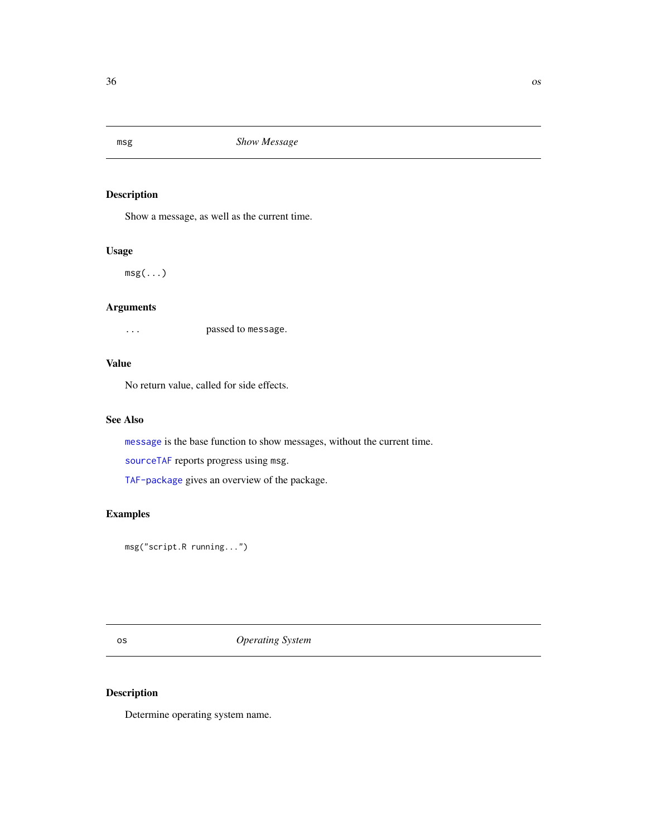<span id="page-35-1"></span><span id="page-35-0"></span>

Show a message, as well as the current time.

#### Usage

 $msg(\ldots)$ 

# Arguments

... passed to message.

# Value

No return value, called for side effects.

# See Also

[message](#page-0-0) is the base function to show messages, without the current time.

[sourceTAF](#page-46-1) reports progress using msg.

[TAF-package](#page-2-1) gives an overview of the package.

# Examples

msg("script.R running...")

os *Operating System*

# <span id="page-35-2"></span>Description

Determine operating system name.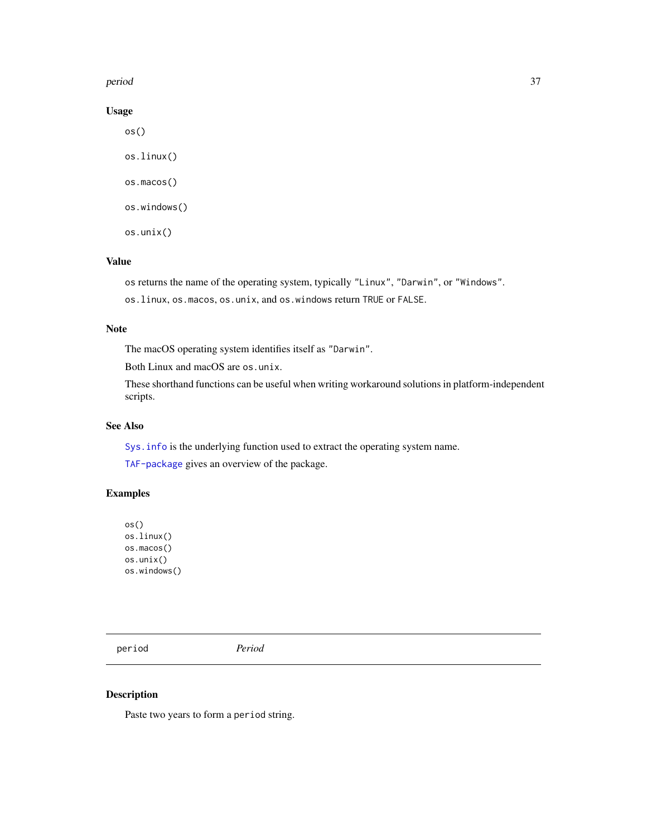#### <span id="page-36-0"></span>period 37

# Usage

os() os.linux() os.macos() os.windows() os.unix()

# Value

os returns the name of the operating system, typically "Linux", "Darwin", or "Windows". os.linux, os.macos, os.unix, and os.windows return TRUE or FALSE.

#### Note

The macOS operating system identifies itself as "Darwin".

Both Linux and macOS are os.unix.

These shorthand functions can be useful when writing workaround solutions in platform-independent scripts.

#### See Also

[Sys.info](#page-0-0) is the underlying function used to extract the operating system name.

[TAF-package](#page-2-1) gives an overview of the package.

# Examples

os() os.linux() os.macos() os.unix() os.windows()

<span id="page-36-1"></span>period *Period*

#### Description

Paste two years to form a period string.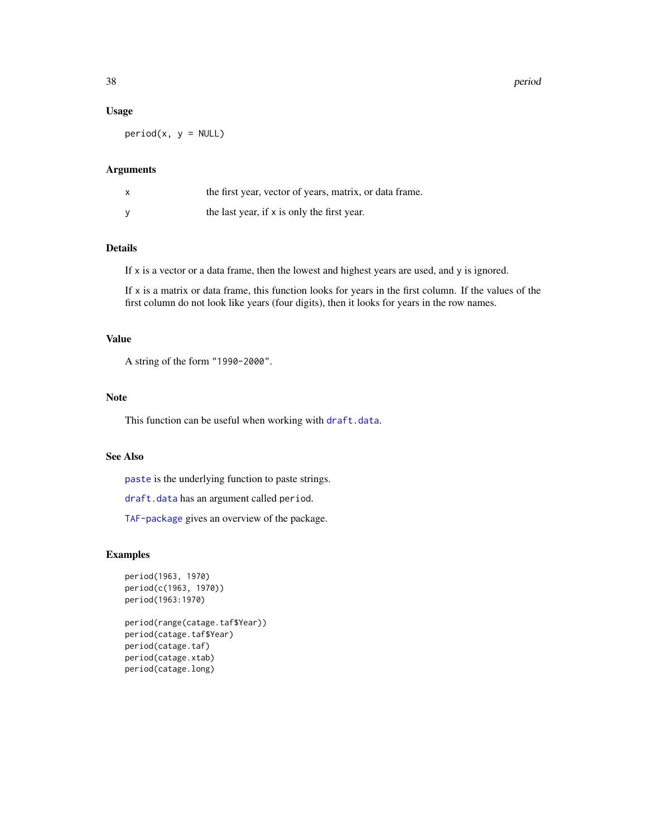#### Usage

 $period(x, y = NULL)$ 

# Arguments

| the first year, vector of years, matrix, or data frame. |
|---------------------------------------------------------|
| the last year, if x is only the first year.             |

#### Details

If x is a vector or a data frame, then the lowest and highest years are used, and y is ignored.

If x is a matrix or data frame, this function looks for years in the first column. If the values of the first column do not look like years (four digits), then it looks for years in the row names.

# Value

A string of the form "1990-2000".

# Note

This function can be useful when working with [draft.data](#page-19-1).

# See Also

[paste](#page-0-0) is the underlying function to paste strings.

[draft.data](#page-19-1) has an argument called period.

[TAF-package](#page-2-1) gives an overview of the package.

#### Examples

```
period(1963, 1970)
period(c(1963, 1970))
period(1963:1970)
```
period(range(catage.taf\$Year)) period(catage.taf\$Year) period(catage.taf) period(catage.xtab) period(catage.long)

<span id="page-37-0"></span>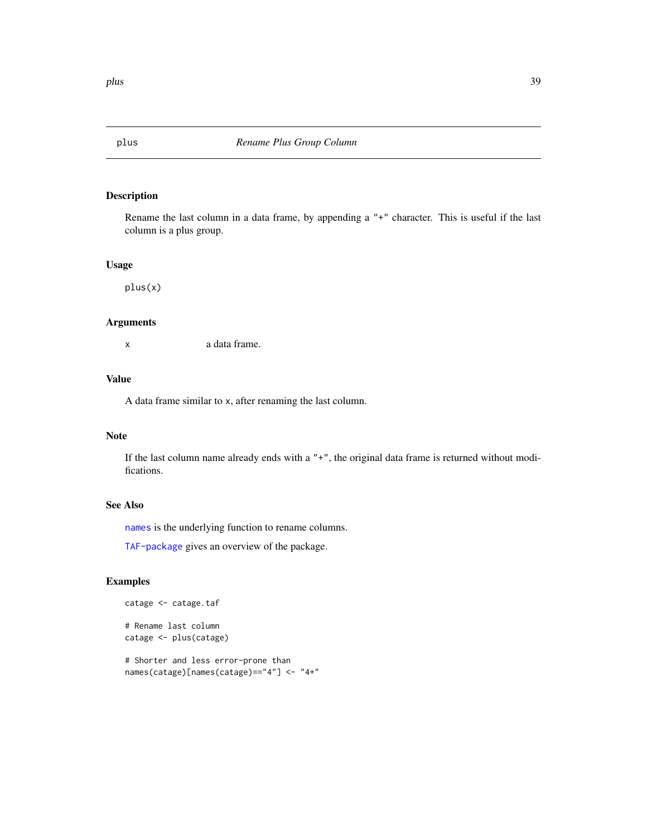<span id="page-38-1"></span><span id="page-38-0"></span>

Rename the last column in a data frame, by appending a "+" character. This is useful if the last column is a plus group.

#### Usage

plus(x)

# Arguments

x a data frame.

#### Value

A data frame similar to x, after renaming the last column.

#### Note

If the last column name already ends with a "+", the original data frame is returned without modifications.

#### See Also

[names](#page-0-0) is the underlying function to rename columns.

[TAF-package](#page-2-1) gives an overview of the package.

# Examples

```
catage <- catage.taf
```
# Rename last column catage <- plus(catage)

# Shorter and less error-prone than names(catage)[names(catage)=="4"] <- "4+"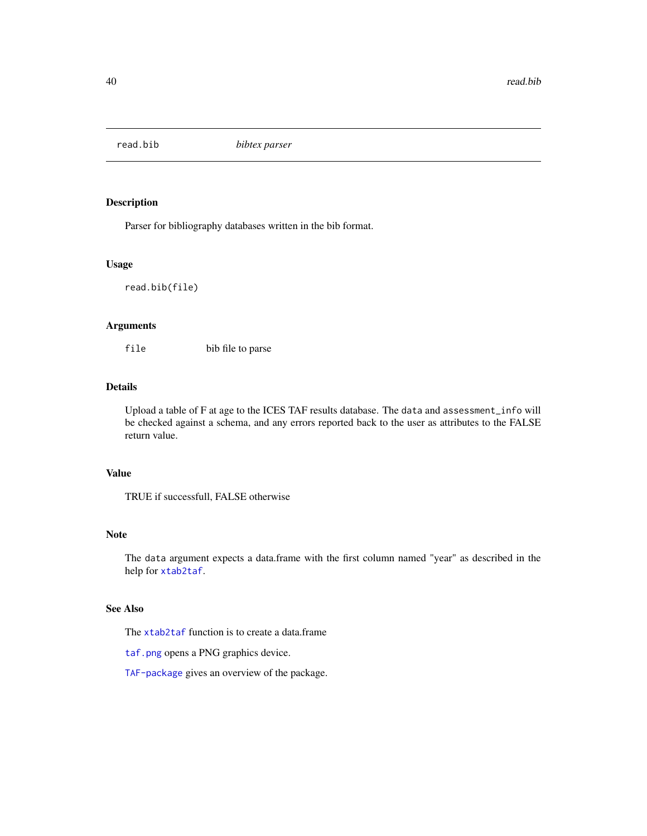<span id="page-39-0"></span>

Parser for bibliography databases written in the bib format.

#### Usage

read.bib(file)

# Arguments

file bib file to parse

# Details

Upload a table of F at age to the ICES TAF results database. The data and assessment\_info will be checked against a schema, and any errors reported back to the user as attributes to the FALSE return value.

# Value

TRUE if successfull, FALSE otherwise

#### Note

The data argument expects a data.frame with the first column named "year" as described in the help for [xtab2taf](#page-66-1).

# See Also

The [xtab2taf](#page-66-1) function is to create a data.frame

[taf.png](#page-56-1) opens a PNG graphics device.

[TAF-package](#page-2-1) gives an overview of the package.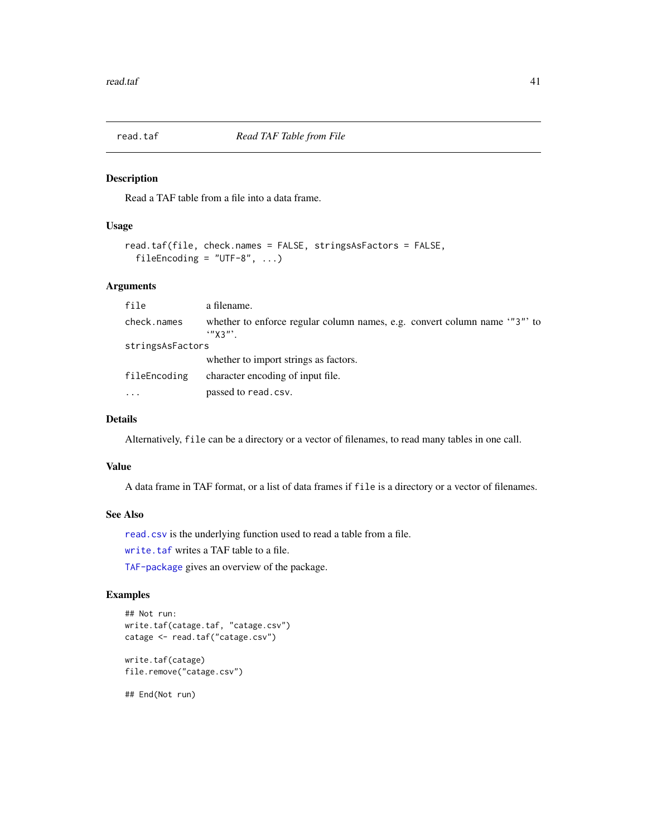<span id="page-40-1"></span><span id="page-40-0"></span>

Read a TAF table from a file into a data frame.

# Usage

```
read.taf(file, check.names = FALSE, stringsAsFactors = FALSE,
 fileEncoding = "UTF-8", ...
```
### Arguments

| file             | a filename.                                                                                       |  |
|------------------|---------------------------------------------------------------------------------------------------|--|
| check.names      | whether to enforce regular column names, e.g. convert column name ""3" to<br>$\cdot$ " $\chi$ 3"' |  |
| stringsAsFactors |                                                                                                   |  |
|                  | whether to import strings as factors.                                                             |  |
| fileEncoding     | character encoding of input file.                                                                 |  |
| $\ddotsc$        | passed to read.csv.                                                                               |  |

#### Details

Alternatively, file can be a directory or a vector of filenames, to read many tables in one call.

#### Value

A data frame in TAF format, or a list of data frames if file is a directory or a vector of filenames.

#### See Also

[read.csv](#page-0-0) is the underlying function used to read a table from a file.

[write.taf](#page-64-1) writes a TAF table to a file.

[TAF-package](#page-2-1) gives an overview of the package.

#### Examples

```
## Not run:
write.taf(catage.taf, "catage.csv")
catage <- read.taf("catage.csv")
```
write.taf(catage) file.remove("catage.csv")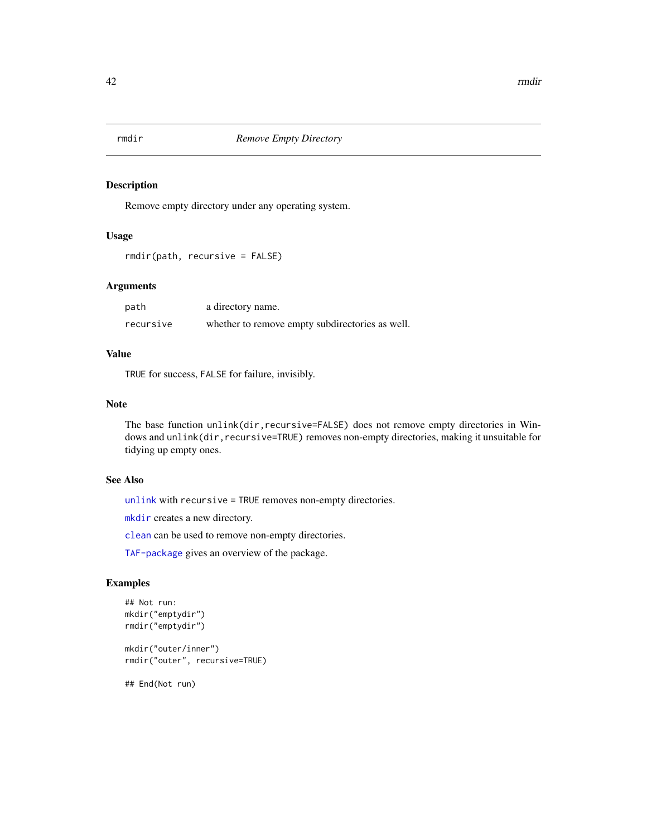<span id="page-41-1"></span><span id="page-41-0"></span>

Remove empty directory under any operating system.

# Usage

```
rmdir(path, recursive = FALSE)
```
# Arguments

| path      | a directory name.                               |
|-----------|-------------------------------------------------|
| recursive | whether to remove empty subdirectories as well. |

# Value

TRUE for success, FALSE for failure, invisibly.

#### Note

The base function unlink(dir, recursive=FALSE) does not remove empty directories in Windows and unlink(dir, recursive=TRUE) removes non-empty directories, making it unsuitable for tidying up empty ones.

#### See Also

[unlink](#page-0-0) with recursive = TRUE removes non-empty directories.

[mkdir](#page-34-1) creates a new directory.

[clean](#page-7-1) can be used to remove non-empty directories.

[TAF-package](#page-2-1) gives an overview of the package.

# Examples

```
## Not run:
mkdir("emptydir")
rmdir("emptydir")
```
mkdir("outer/inner") rmdir("outer", recursive=TRUE)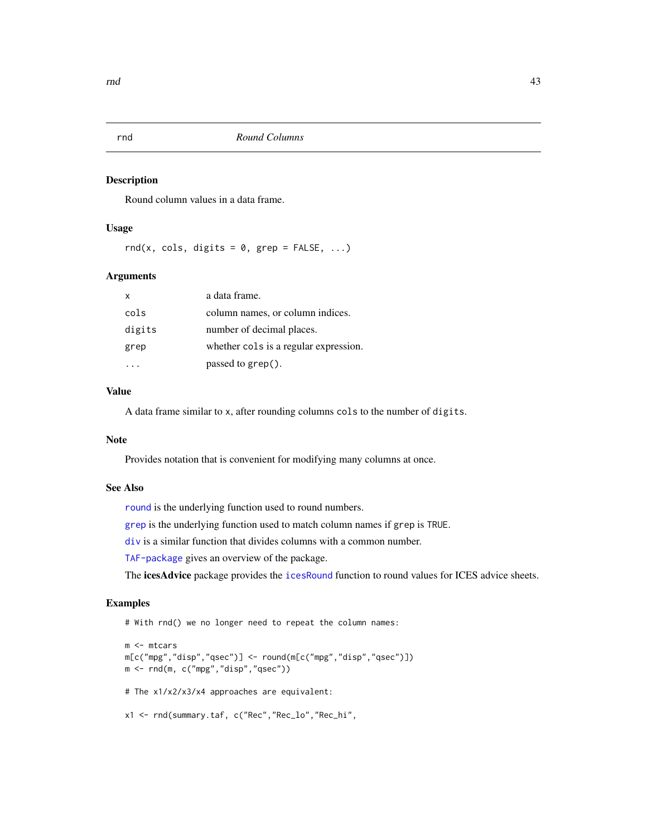<span id="page-42-1"></span><span id="page-42-0"></span>

Round column values in a data frame.

#### Usage

rnd(x, cols, digits =  $0$ , grep = FALSE, ...)

#### Arguments

| $\mathsf{x}$ | a data frame.                         |
|--------------|---------------------------------------|
| cols         | column names, or column indices.      |
| digits       | number of decimal places.             |
| grep         | whether cols is a regular expression. |
|              | passed to $\text{green}()$ .          |

# Value

A data frame similar to x, after rounding columns cols to the number of digits.

#### Note

Provides notation that is convenient for modifying many columns at once.

#### See Also

[round](#page-0-0) is the underlying function used to round numbers.

[grep](#page-0-0) is the underlying function used to match column names if grep is TRUE.

[div](#page-15-1) is a similar function that divides columns with a common number.

[TAF-package](#page-2-1) gives an overview of the package.

The icesAdvice package provides the [icesRound](#page-0-0) function to round values for ICES advice sheets.

#### Examples

# With rnd() we no longer need to repeat the column names:

```
m <- mtcars
m[c("mpg","disp","qsec")] <- round(m[c("mpg","disp","qsec")])
m <- rnd(m, c("mpg","disp","qsec"))
# The x1/x2/x3/x4 approaches are equivalent:
x1 <- rnd(summary.taf, c("Rec","Rec_lo","Rec_hi",
```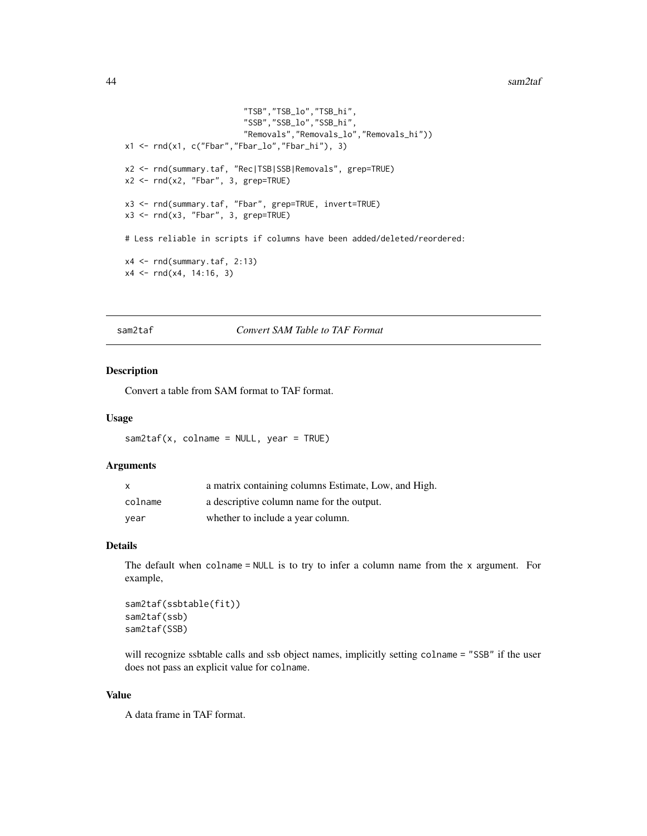#### <span id="page-43-0"></span>44 sam2taf

```
"TSB","TSB_lo","TSB_hi",
                            "SSB","SSB_lo","SSB_hi",
                            "Removals","Removals_lo","Removals_hi"))
x1 \leftarrow \text{rnd}(x1, c("Fbar", "Fbar\_lo", "Fbar\_hi"), 3)x2 <- rnd(summary.taf, "Rec|TSB|SSB|Removals", grep=TRUE)
x2 \leq -rnd(x2, "Fbar", 3, grep=TRUE)x3 <- rnd(summary.taf, "Fbar", grep=TRUE, invert=TRUE)
x3 \leq -rnd(x3, "Fbar", 3, grep=TRUE)# Less reliable in scripts if columns have been added/deleted/reordered:
x4 \leftarrow \text{rnd}(summary.taf, 2:13)x4 \leq \text{rnd}(x4, 14:16, 3)
```
<span id="page-43-1"></span>sam2taf *Convert SAM Table to TAF Format*

# Description

Convert a table from SAM format to TAF format.

#### Usage

 $sam2taf(x, colname = NULL, year = TRUE)$ 

# Arguments

| $\mathsf{x}$ | a matrix containing columns Estimate, Low, and High. |
|--------------|------------------------------------------------------|
| colname      | a descriptive column name for the output.            |
| vear         | whether to include a year column.                    |

# Details

The default when colname  $=$  NULL is to try to infer a column name from the  $x$  argument. For example,

```
sam2taf(ssbtable(fit))
sam2taf(ssb)
sam2taf(SSB)
```
will recognize ssbtable calls and ssb object names, implicitly setting colname = "SSB" if the user does not pass an explicit value for colname.

#### Value

A data frame in TAF format.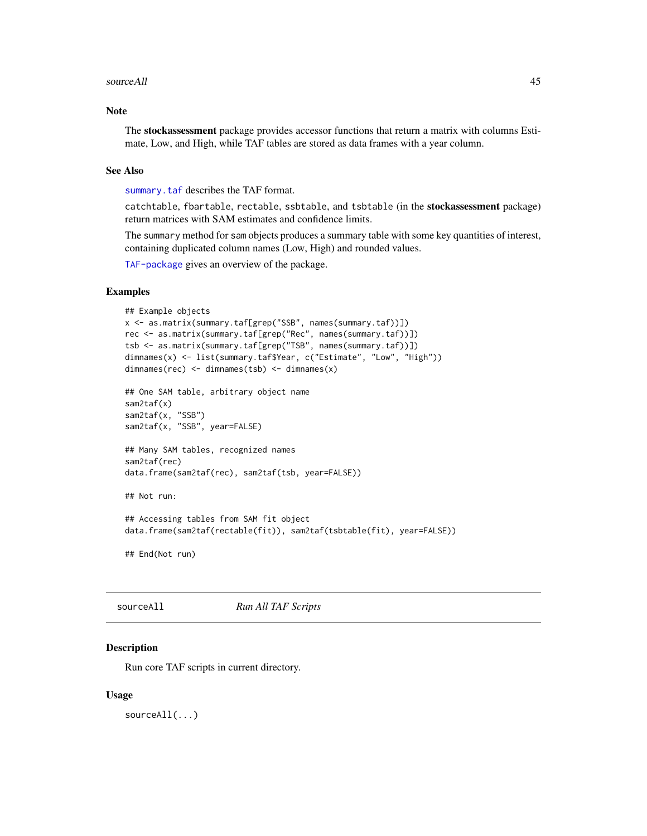#### <span id="page-44-0"></span>sourceAll 45

#### Note

The stockassessment package provides accessor functions that return a matrix with columns Estimate, Low, and High, while TAF tables are stored as data frames with a year column.

#### See Also

[summary.taf](#page-48-1) describes the TAF format.

catchtable, fbartable, rectable, ssbtable, and tsbtable (in the stockassessment package) return matrices with SAM estimates and confidence limits.

The summary method for sam objects produces a summary table with some key quantities of interest, containing duplicated column names (Low, High) and rounded values.

[TAF-package](#page-2-1) gives an overview of the package.

#### Examples

```
## Example objects
x <- as.matrix(summary.taf[grep("SSB", names(summary.taf))])
rec <- as.matrix(summary.taf[grep("Rec", names(summary.taf))])
tsb <- as.matrix(summary.taf[grep("TSB", names(summary.taf))])
dimnames(x) <- list(summary.taf$Year, c("Estimate", "Low", "High"))
dimnames(rec) <- dimnames(tsb) <- dimnames(x)
## One SAM table, arbitrary object name
sam2taf(x)
sam2taf(x, "SSB")
sam2taf(x, "SSB", year=FALSE)
## Many SAM tables, recognized names
sam2taf(rec)
data.frame(sam2taf(rec), sam2taf(tsb, year=FALSE))
## Not run:
## Accessing tables from SAM fit object
data.frame(sam2taf(rectable(fit)), sam2taf(tsbtable(fit), year=FALSE))
```
## End(Not run)

```
sourceAll Run All TAF Scripts
```
#### Description

Run core TAF scripts in current directory.

#### Usage

sourceAll(...)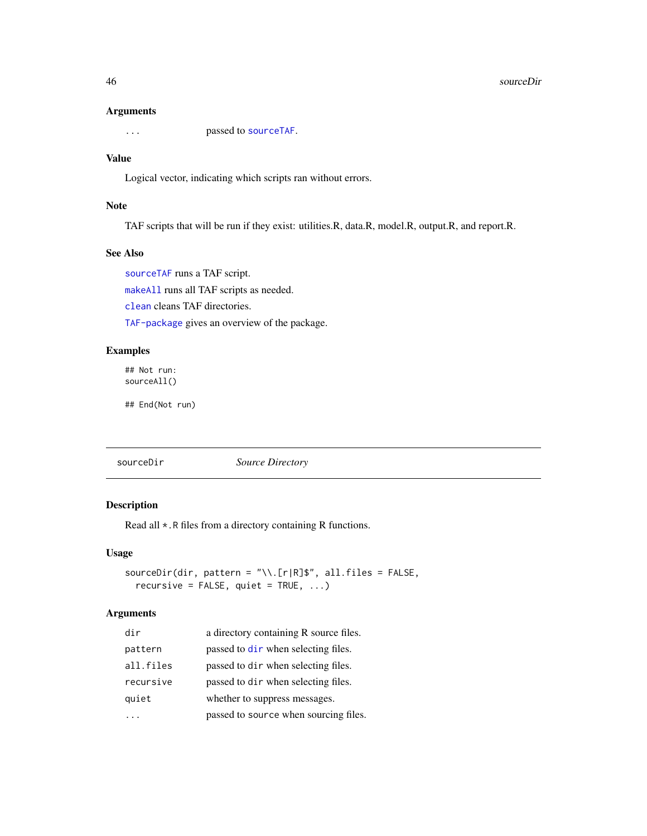#### 46 sourceDir

#### Arguments

... passed to [sourceTAF](#page-46-1).

#### Value

Logical vector, indicating which scripts ran without errors.

# Note

TAF scripts that will be run if they exist: utilities.R, data.R, model.R, output.R, and report.R.

# See Also

[sourceTAF](#page-46-1) runs a TAF script. [makeAll](#page-32-1) runs all TAF scripts as needed. [clean](#page-7-1) cleans TAF directories. [TAF-package](#page-2-1) gives an overview of the package.

#### Examples

## Not run: sourceAll()

## End(Not run)

<span id="page-45-1"></span>sourceDir *Source Directory*

# Description

Read all \*.R files from a directory containing R functions.

# Usage

```
sourceDir(dir, pattern = "\\.[r|R]$", all.files = FALSE,
  recursively = FALSE, quiet = TRUE, ...)
```
#### Arguments

| dir       | a directory containing R source files. |
|-----------|----------------------------------------|
| pattern   | passed to dir when selecting files.    |
| all.files | passed to dir when selecting files.    |
| recursive | passed to dir when selecting files.    |
| quiet     | whether to suppress messages.          |
|           | passed to source when sourcing files.  |

<span id="page-45-0"></span>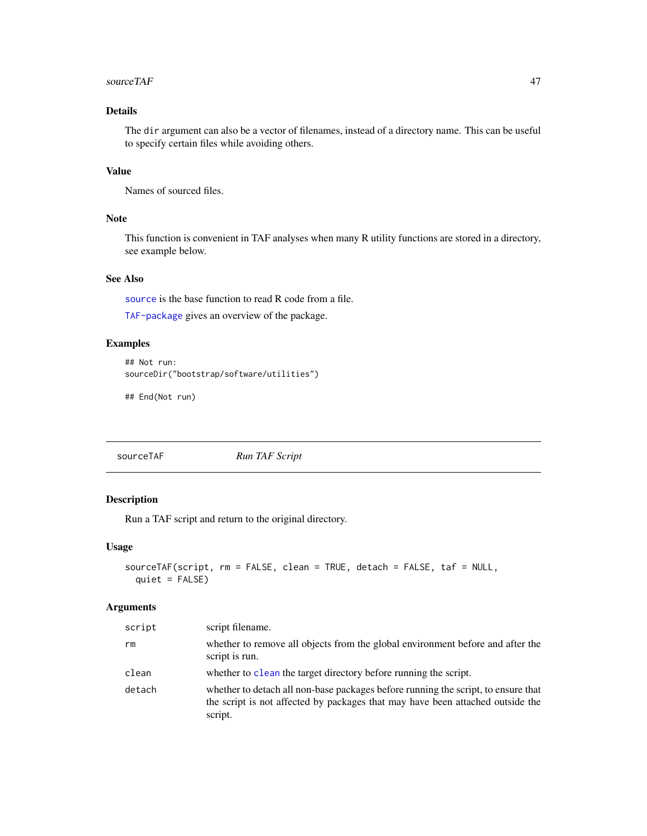#### <span id="page-46-0"></span> $sourceTAF$  and  $47$

# Details

The dir argument can also be a vector of filenames, instead of a directory name. This can be useful to specify certain files while avoiding others.

# Value

Names of sourced files.

# Note

This function is convenient in TAF analyses when many R utility functions are stored in a directory, see example below.

# See Also

[source](#page-0-0) is the base function to read R code from a file.

[TAF-package](#page-2-1) gives an overview of the package.

# Examples

```
## Not run:
sourceDir("bootstrap/software/utilities")
```
## End(Not run)

<span id="page-46-1"></span>sourceTAF *Run TAF Script*

# Description

Run a TAF script and return to the original directory.

#### Usage

```
sourceTAF(script, rm = FALSE, clean = TRUE, detach = FALSE, taf = NULL,
 quiet = FALSE)
```
#### Arguments

| script | script filename.                                                                                                                                                               |
|--------|--------------------------------------------------------------------------------------------------------------------------------------------------------------------------------|
| rm     | whether to remove all objects from the global environment before and after the<br>script is run.                                                                               |
| clean  | whether to clean the target directory before running the script.                                                                                                               |
| detach | whether to detach all non-base packages before running the script, to ensure that<br>the script is not affected by packages that may have been attached outside the<br>script. |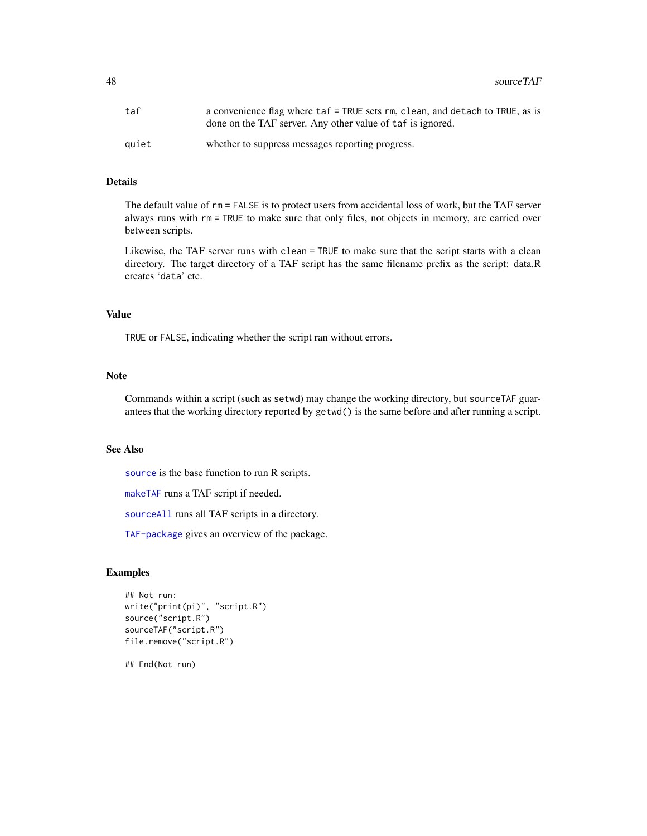<span id="page-47-0"></span>

| taf   | a convenience flag where taf = TRUE sets rm, clean, and detach to TRUE, as is<br>done on the TAF server. Any other value of taf is ignored. |
|-------|---------------------------------------------------------------------------------------------------------------------------------------------|
| auiet | whether to suppress messages reporting progress.                                                                                            |

# Details

The default value of rm = FALSE is to protect users from accidental loss of work, but the TAF server always runs with rm = TRUE to make sure that only files, not objects in memory, are carried over between scripts.

Likewise, the TAF server runs with clean = TRUE to make sure that the script starts with a clean directory. The target directory of a TAF script has the same filename prefix as the script: data.R creates 'data' etc.

#### Value

TRUE or FALSE, indicating whether the script ran without errors.

#### Note

Commands within a script (such as setwd) may change the working directory, but sourceTAF guarantees that the working directory reported by getwd() is the same before and after running a script.

# See Also

[source](#page-0-0) is the base function to run R scripts.

[makeTAF](#page-33-1) runs a TAF script if needed.

[sourceAll](#page-44-1) runs all TAF scripts in a directory.

[TAF-package](#page-2-1) gives an overview of the package.

#### Examples

```
## Not run:
write("print(pi)", "script.R")
source("script.R")
sourceTAF("script.R")
file.remove("script.R")
```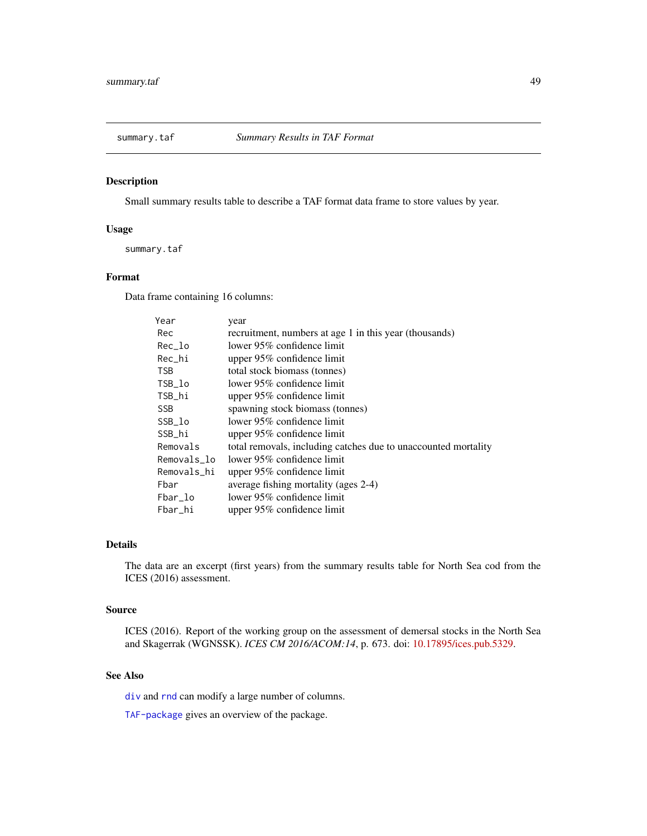<span id="page-48-1"></span><span id="page-48-0"></span>

Small summary results table to describe a TAF format data frame to store values by year.

#### Usage

summary.taf

# Format

Data frame containing 16 columns:

| Year        | year                                                           |
|-------------|----------------------------------------------------------------|
| Rec         | recruitment, numbers at age 1 in this year (thousands)         |
| Rec_lo      | lower 95% confidence limit                                     |
| Rec_hi      | upper 95% confidence limit                                     |
| <b>TSB</b>  | total stock biomass (tonnes)                                   |
| TSB_lo      | lower 95% confidence limit                                     |
| TSB_hi      | upper 95% confidence limit                                     |
| <b>SSB</b>  | spawning stock biomass (tonnes)                                |
| SSB_lo      | lower 95% confidence limit                                     |
| SSB_hi      | upper 95% confidence limit                                     |
| Removals    | total removals, including catches due to unaccounted mortality |
| Removals_lo | lower 95% confidence limit                                     |
| Removals_hi | upper 95% confidence limit                                     |
| Fbar        | average fishing mortality (ages 2-4)                           |
| Fbar_lo     | lower $95\%$ confidence limit                                  |
| Fbar_hi     | upper 95% confidence limit                                     |

# Details

The data are an excerpt (first years) from the summary results table for North Sea cod from the ICES (2016) assessment.

#### Source

ICES (2016). Report of the working group on the assessment of demersal stocks in the North Sea and Skagerrak (WGNSSK). *ICES CM 2016/ACOM:14*, p. 673. doi: [10.17895/ices.pub.5329.](https://doi.org/10.17895/ices.pub.5329)

# See Also

[div](#page-15-1) and [rnd](#page-42-1) can modify a large number of columns.

[TAF-package](#page-2-1) gives an overview of the package.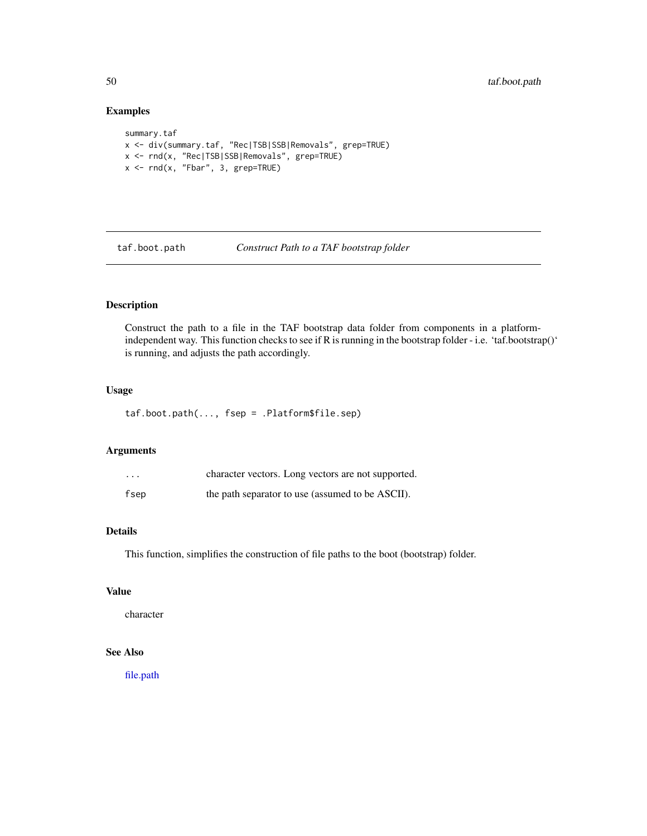# Examples

```
summary.taf
x <- div(summary.taf, "Rec|TSB|SSB|Removals", grep=TRUE)
x <- rnd(x, "Rec|TSB|SSB|Removals", grep=TRUE)
x <- rnd(x, "Fbar", 3, grep=TRUE)
```
taf.boot.path *Construct Path to a TAF bootstrap folder*

# Description

Construct the path to a file in the TAF bootstrap data folder from components in a platformindependent way. This function checks to see if R is running in the bootstrap folder - i.e. 'taf.bootstrap()' is running, and adjusts the path accordingly.

# Usage

taf.boot.path(..., fsep = .Platform\$file.sep)

#### Arguments

| $\cdots$ | character vectors. Long vectors are not supported. |
|----------|----------------------------------------------------|
| fsep     | the path separator to use (assumed to be ASCII).   |

# Details

This function, simplifies the construction of file paths to the boot (bootstrap) folder.

# Value

character

# See Also

[file.path](#page-0-0)

<span id="page-49-0"></span>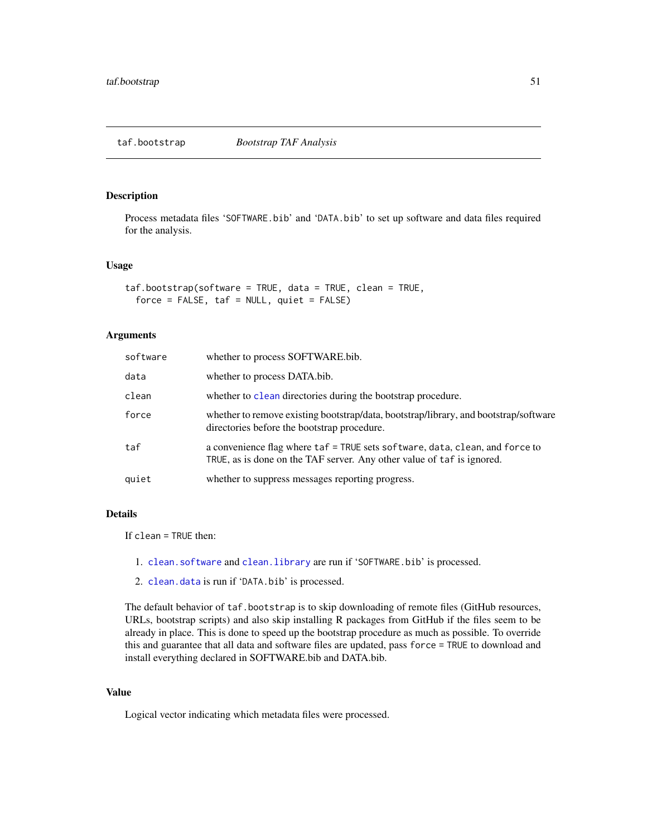<span id="page-50-1"></span><span id="page-50-0"></span>taf.bootstrap *Bootstrap TAF Analysis*

#### Description

Process metadata files 'SOFTWARE.bib' and 'DATA.bib' to set up software and data files required for the analysis.

#### Usage

```
taf.bootstrap(software = TRUE, data = TRUE, clean = TRUE,
  force = FALSE, taf = NULL, quiet = FALSE)
```
#### Arguments

| software | whether to process SOFTWARE.bib.                                                                                                                       |
|----------|--------------------------------------------------------------------------------------------------------------------------------------------------------|
| data     | whether to process DATA.bib.                                                                                                                           |
| clean    | whether to clean directories during the bootstrap procedure.                                                                                           |
| force    | whether to remove existing bootstrap/data, bootstrap/library, and bootstrap/software<br>directories before the bootstrap procedure.                    |
| taf      | a convenience flag where taf = TRUE sets software, data, clean, and force to<br>TRUE, as is done on the TAF server. Any other value of taf is ignored. |
| quiet    | whether to suppress messages reporting progress.                                                                                                       |

#### Details

If clean = TRUE then:

- 1. [clean.software](#page-10-1) and [clean.library](#page-9-1) are run if 'SOFTWARE.bib' is processed.
- 2. [clean.data](#page-8-1) is run if 'DATA.bib' is processed.

The default behavior of taf.bootstrap is to skip downloading of remote files (GitHub resources, URLs, bootstrap scripts) and also skip installing R packages from GitHub if the files seem to be already in place. This is done to speed up the bootstrap procedure as much as possible. To override this and guarantee that all data and software files are updated, pass force = TRUE to download and install everything declared in SOFTWARE.bib and DATA.bib.

# Value

Logical vector indicating which metadata files were processed.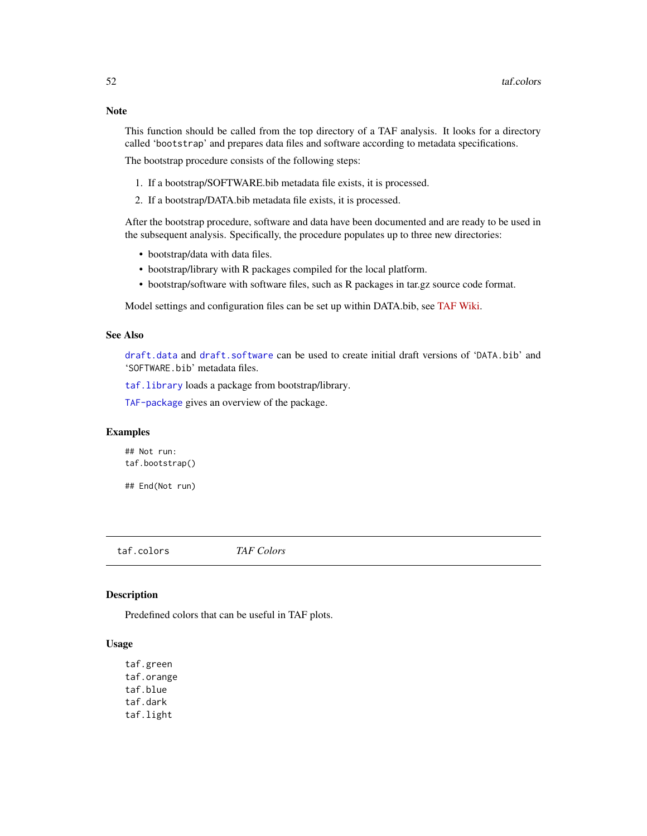<span id="page-51-0"></span>This function should be called from the top directory of a TAF analysis. It looks for a directory called 'bootstrap' and prepares data files and software according to metadata specifications.

The bootstrap procedure consists of the following steps:

- 1. If a bootstrap/SOFTWARE.bib metadata file exists, it is processed.
- 2. If a bootstrap/DATA.bib metadata file exists, it is processed.

After the bootstrap procedure, software and data have been documented and are ready to be used in the subsequent analysis. Specifically, the procedure populates up to three new directories:

- bootstrap/data with data files.
- bootstrap/library with R packages compiled for the local platform.
- bootstrap/software with software files, such as R packages in tar.gz source code format.

Model settings and configuration files can be set up within DATA.bib, see [TAF Wiki.](https://github.com/ices-taf/doc/wiki/Bib-entries)

#### See Also

[draft.data](#page-19-1) and [draft.software](#page-21-1) can be used to create initial draft versions of 'DATA.bib' and 'SOFTWARE.bib' metadata files.

[taf.library](#page-55-1) loads a package from bootstrap/library.

[TAF-package](#page-2-1) gives an overview of the package.

#### Examples

## Not run: taf.bootstrap()

## End(Not run)

<span id="page-51-1"></span>taf.colors *TAF Colors*

#### Description

Predefined colors that can be useful in TAF plots.

# Usage

taf.green taf.orange taf.blue taf.dark taf.light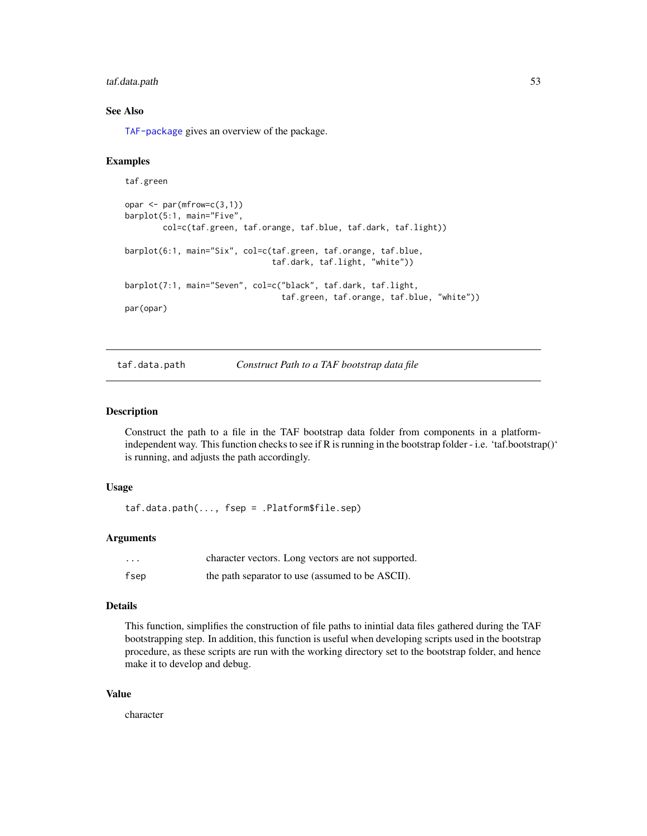# <span id="page-52-0"></span>taf.data.path 53

#### See Also

[TAF-package](#page-2-1) gives an overview of the package.

#### Examples

```
taf.green
opar <- par(mfrow=c(3,1))
barplot(5:1, main="Five",
       col=c(taf.green, taf.orange, taf.blue, taf.dark, taf.light))
barplot(6:1, main="Six", col=c(taf.green, taf.orange, taf.blue,
                               taf.dark, taf.light, "white"))
barplot(7:1, main="Seven", col=c("black", taf.dark, taf.light,
                                 taf.green, taf.orange, taf.blue, "white"))
par(opar)
```
taf.data.path *Construct Path to a TAF bootstrap data file*

#### **Description**

Construct the path to a file in the TAF bootstrap data folder from components in a platformindependent way. This function checks to see if R is running in the bootstrap folder - i.e. 'taf.bootstrap()' is running, and adjusts the path accordingly.

#### Usage

taf.data.path(..., fsep = .Platform\$file.sep)

#### Arguments

| $\cdot\cdot\cdot$ | character vectors. Long vectors are not supported. |
|-------------------|----------------------------------------------------|
| fsep              | the path separator to use (assumed to be ASCII).   |

#### Details

This function, simplifies the construction of file paths to inintial data files gathered during the TAF bootstrapping step. In addition, this function is useful when developing scripts used in the bootstrap procedure, as these scripts are run with the working directory set to the bootstrap folder, and hence make it to develop and debug.

#### Value

character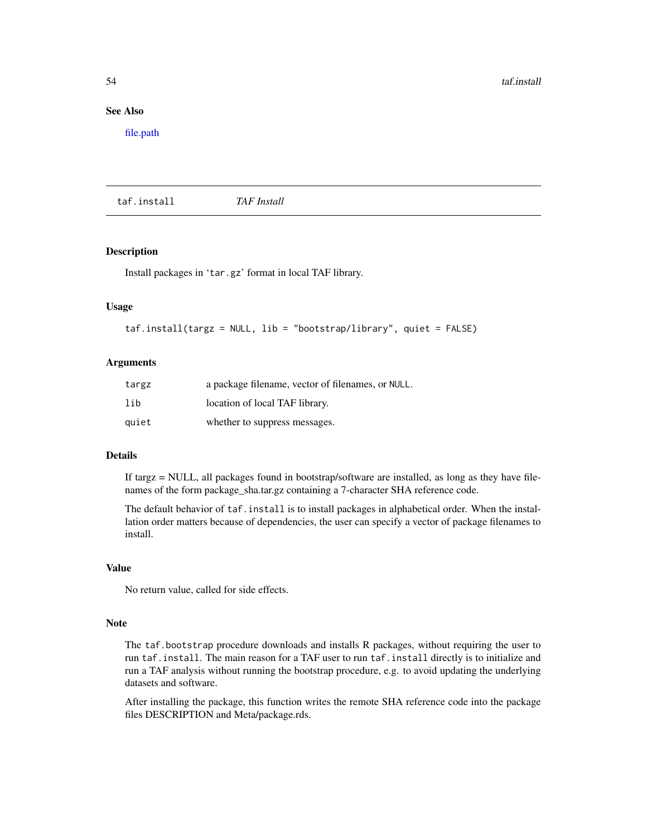# <span id="page-53-0"></span>See Also

[file.path](#page-0-0)

<span id="page-53-1"></span>taf.install *TAF Install*

#### Description

Install packages in 'tar.gz' format in local TAF library.

# Usage

```
taf.install(targz = NULL, lib = "bootstrap/library", quiet = FALSE)
```
#### Arguments

| targz | a package filename, vector of filenames, or NULL. |
|-------|---------------------------------------------------|
| lib   | location of local TAF library.                    |
| quiet | whether to suppress messages.                     |

# Details

If targz = NULL, all packages found in bootstrap/software are installed, as long as they have filenames of the form package\_sha.tar.gz containing a 7-character SHA reference code.

The default behavior of taf.install is to install packages in alphabetical order. When the installation order matters because of dependencies, the user can specify a vector of package filenames to install.

# Value

No return value, called for side effects.

# Note

The taf.bootstrap procedure downloads and installs R packages, without requiring the user to run taf.install. The main reason for a TAF user to run taf.install directly is to initialize and run a TAF analysis without running the bootstrap procedure, e.g. to avoid updating the underlying datasets and software.

After installing the package, this function writes the remote SHA reference code into the package files DESCRIPTION and Meta/package.rds.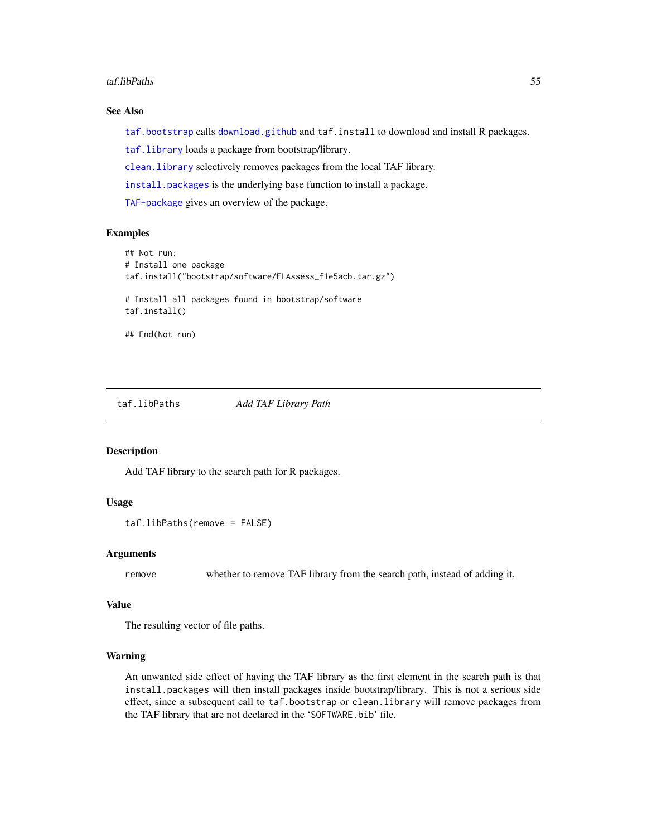#### <span id="page-54-0"></span>taf.libPaths 55

# See Also

[taf.bootstrap](#page-50-1) calls [download.github](#page-18-1) and taf.install to download and install R packages.

[taf.library](#page-55-1) loads a package from bootstrap/library.

[clean.library](#page-9-1) selectively removes packages from the local TAF library.

[install.packages](#page-0-0) is the underlying base function to install a package.

[TAF-package](#page-2-1) gives an overview of the package.

#### Examples

```
## Not run:
# Install one package
taf.install("bootstrap/software/FLAssess_f1e5acb.tar.gz")
# Install all packages found in bootstrap/software
taf.install()
## End(Not run)
```
<span id="page-54-1"></span>taf.libPaths *Add TAF Library Path*

#### Description

Add TAF library to the search path for R packages.

# Usage

taf.libPaths(remove = FALSE)

#### Arguments

remove whether to remove TAF library from the search path, instead of adding it.

#### Value

The resulting vector of file paths.

#### Warning

An unwanted side effect of having the TAF library as the first element in the search path is that install.packages will then install packages inside bootstrap/library. This is not a serious side effect, since a subsequent call to taf.bootstrap or clean.library will remove packages from the TAF library that are not declared in the 'SOFTWARE.bib' file.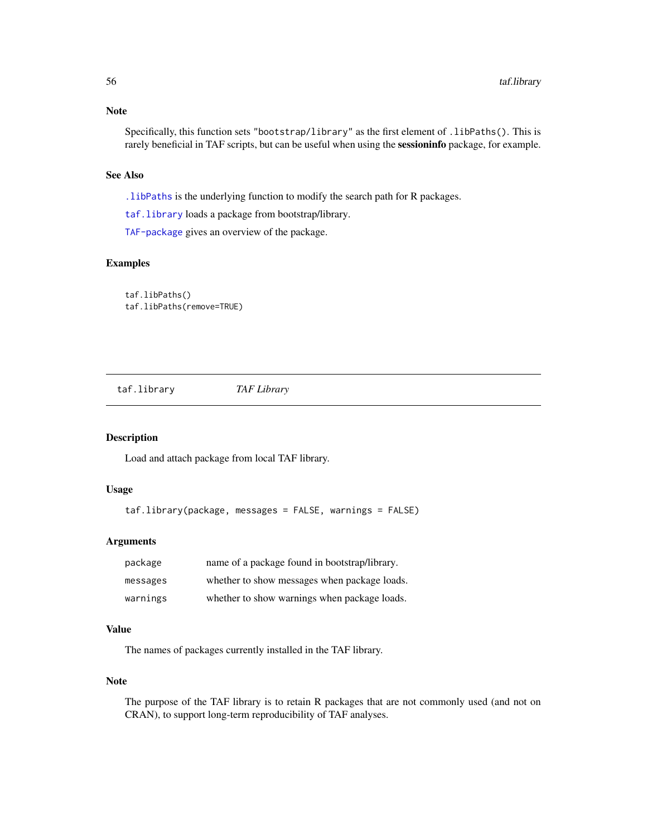<span id="page-55-0"></span>Specifically, this function sets "bootstrap/library" as the first element of .libPaths(). This is rarely beneficial in TAF scripts, but can be useful when using the sessioninfo package, for example.

#### See Also

[.libPaths](#page-0-0) is the underlying function to modify the search path for R packages.

[taf.library](#page-55-1) loads a package from bootstrap/library.

[TAF-package](#page-2-1) gives an overview of the package.

# Examples

taf.libPaths() taf.libPaths(remove=TRUE)

<span id="page-55-1"></span>taf.library *TAF Library*

#### Description

Load and attach package from local TAF library.

#### Usage

```
taf.library(package, messages = FALSE, warnings = FALSE)
```
# Arguments

| package  | name of a package found in bootstrap/library. |
|----------|-----------------------------------------------|
| messages | whether to show messages when package loads.  |
| warnings | whether to show warnings when package loads.  |

#### Value

The names of packages currently installed in the TAF library.

#### Note

The purpose of the TAF library is to retain R packages that are not commonly used (and not on CRAN), to support long-term reproducibility of TAF analyses.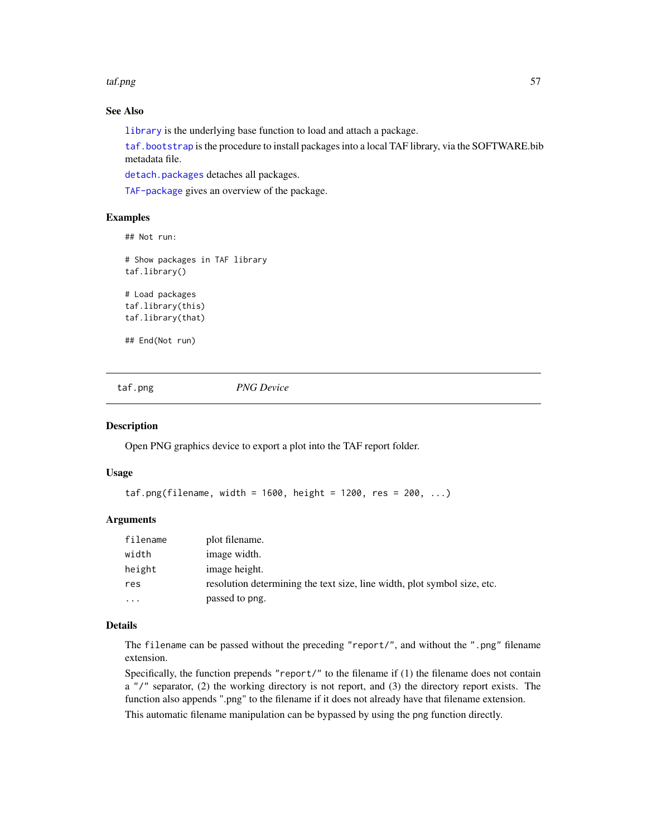#### <span id="page-56-0"></span>taf.png 57

# See Also

[library](#page-0-0) is the underlying base function to load and attach a package.

[taf.bootstrap](#page-50-1) is the procedure to install packages into a local TAF library, via the SOFTWARE.bib metadata file.

[detach.packages](#page-14-1) detaches all packages.

[TAF-package](#page-2-1) gives an overview of the package.

#### Examples

## Not run:

# Show packages in TAF library taf.library() # Load packages taf.library(this)

taf.library(that)

## End(Not run)

<span id="page-56-1"></span>taf.png *PNG Device*

#### Description

Open PNG graphics device to export a plot into the TAF report folder.

#### Usage

```
\text{taf.png(filename, width = 1600, height = 1200, res = 200, ...)}
```
#### Arguments

| filename | plot filename.                                                           |
|----------|--------------------------------------------------------------------------|
| width    | image width.                                                             |
| height   | image height.                                                            |
| res      | resolution determining the text size, line width, plot symbol size, etc. |
| $\cdot$  | passed to png.                                                           |

#### Details

The filename can be passed without the preceding "report/", and without the ".png" filename extension.

Specifically, the function prepends "report/" to the filename if (1) the filename does not contain  $a''$ , separator, (2) the working directory is not report, and (3) the directory report exists. The function also appends ".png" to the filename if it does not already have that filename extension.

This automatic filename manipulation can be bypassed by using the png function directly.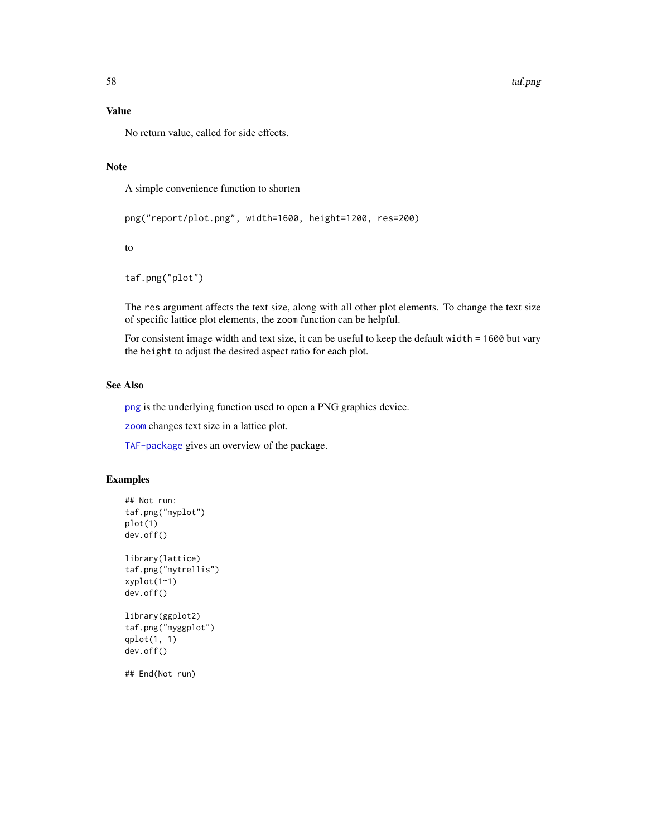# <span id="page-57-0"></span>Value

No return value, called for side effects.

#### Note

A simple convenience function to shorten

```
png("report/plot.png", width=1600, height=1200, res=200)
```
to

taf.png("plot")

The res argument affects the text size, along with all other plot elements. To change the text size of specific lattice plot elements, the zoom function can be helpful.

For consistent image width and text size, it can be useful to keep the default width = 1600 but vary the height to adjust the desired aspect ratio for each plot.

# See Also

[png](#page-0-0) is the underlying function used to open a PNG graphics device.

[zoom](#page-67-1) changes text size in a lattice plot.

[TAF-package](#page-2-1) gives an overview of the package.

#### Examples

```
## Not run:
taf.png("myplot")
plot(1)
dev.off()
library(lattice)
taf.png("mytrellis")
xyplot(1~1)
dev.off()
library(ggplot2)
taf.png("myggplot")
qplot(1, 1)
dev.off()
## End(Not run)
```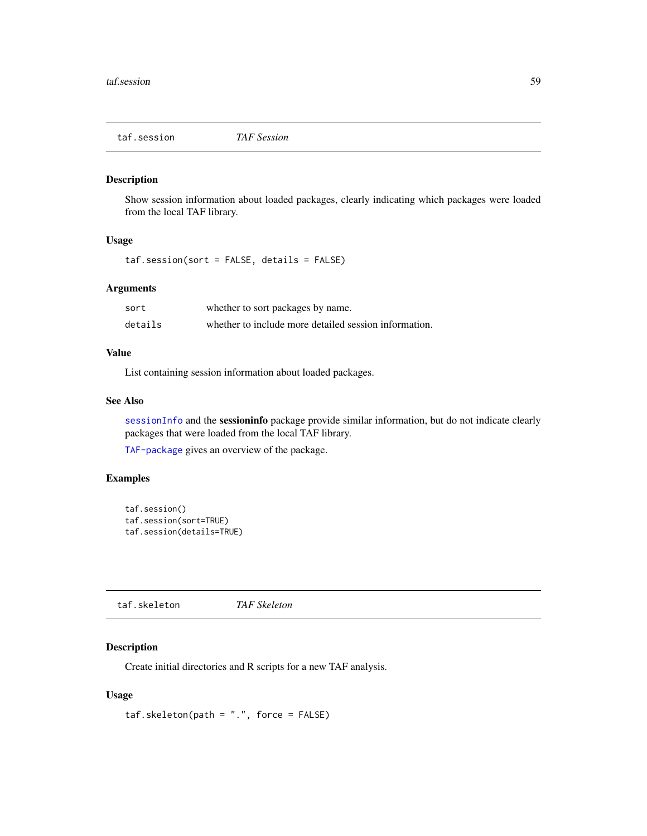<span id="page-58-2"></span><span id="page-58-0"></span>taf.session *TAF Session*

# Description

Show session information about loaded packages, clearly indicating which packages were loaded from the local TAF library.

#### Usage

taf.session(sort = FALSE, details = FALSE)

# Arguments

| sort    | whether to sort packages by name.                     |
|---------|-------------------------------------------------------|
| details | whether to include more detailed session information. |

# Value

List containing session information about loaded packages.

# See Also

[sessionInfo](#page-0-0) and the sessioninfo package provide similar information, but do not indicate clearly packages that were loaded from the local TAF library.

[TAF-package](#page-2-1) gives an overview of the package.

# Examples

```
taf.session()
taf.session(sort=TRUE)
taf.session(details=TRUE)
```
<span id="page-58-1"></span>taf.skeleton *TAF Skeleton*

# Description

Create initial directories and R scripts for a new TAF analysis.

#### Usage

 $taf. skeleton(path = "."$ , force =  $FALSE)$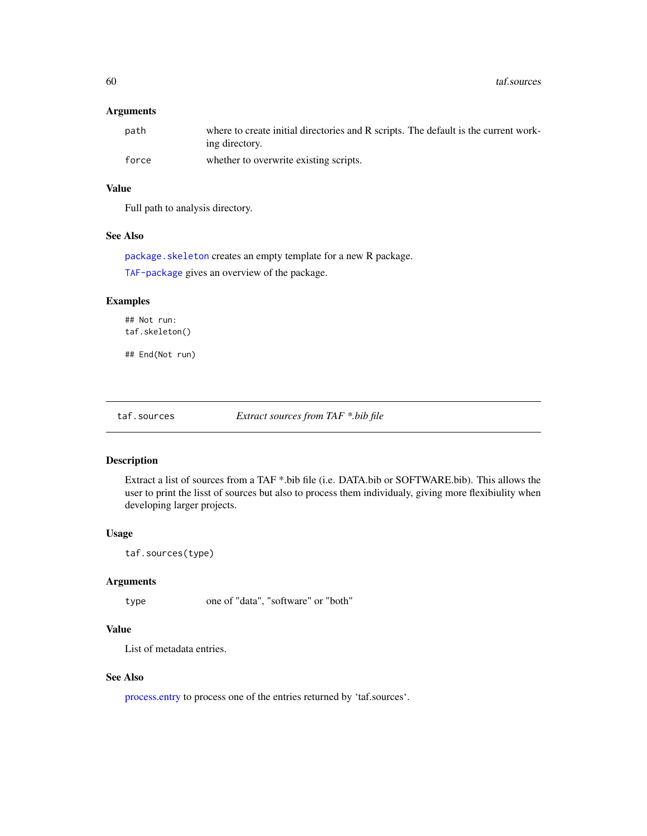# <span id="page-59-0"></span>Arguments

| path  | where to create initial directories and R scripts. The default is the current work-<br>ing directory. |
|-------|-------------------------------------------------------------------------------------------------------|
| force | whether to overwrite existing scripts.                                                                |

# Value

Full path to analysis directory.

#### See Also

[package.skeleton](#page-0-0) creates an empty template for a new R package. [TAF-package](#page-2-1) gives an overview of the package.

# Examples

## Not run: taf.skeleton()

## End(Not run)

taf.sources *Extract sources from TAF \*.bib file*

#### Description

Extract a list of sources from a TAF \*.bib file (i.e. DATA.bib or SOFTWARE.bib). This allows the user to print the lisst of sources but also to process them individualy, giving more flexibiulity when developing larger projects.

# Usage

```
taf.sources(type)
```
# Arguments

type one of "data", "software" or "both"

# Value

List of metadata entries.

#### See Also

[process.entry](#page-0-0) to process one of the entries returned by 'taf.sources'.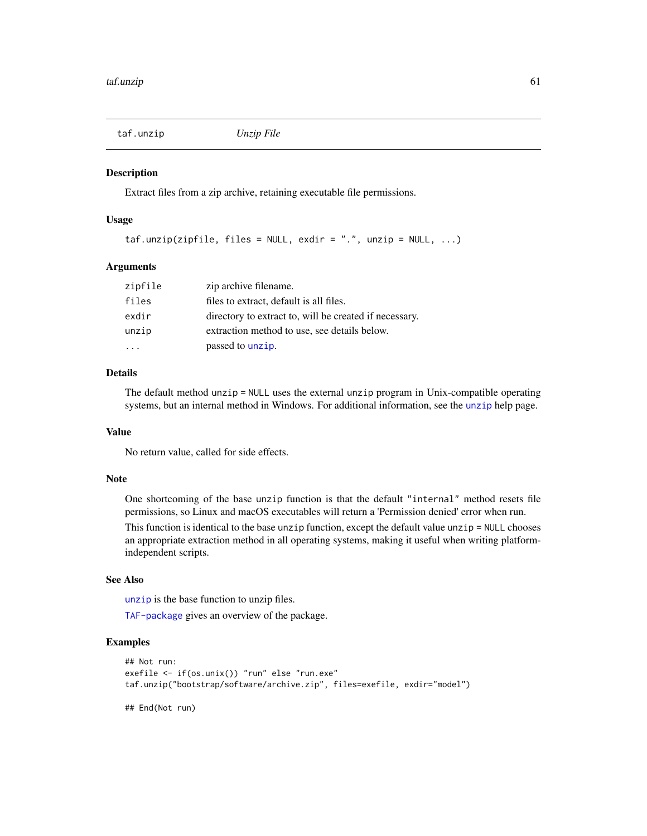<span id="page-60-1"></span><span id="page-60-0"></span>taf.unzip *Unzip File*

#### Description

Extract files from a zip archive, retaining executable file permissions.

#### Usage

```
\text{taf.unzip(zipfile, files = NULL, exit = "."], unzip = NULL, ...}
```
#### Arguments

| zipfile | zip archive filename.                                  |
|---------|--------------------------------------------------------|
| files   | files to extract, default is all files.                |
| exdir   | directory to extract to, will be created if necessary. |
| unzip   | extraction method to use, see details below.           |
|         | passed to unzip.                                       |

# Details

The default method unzip = NULL uses the external unzip program in Unix-compatible operating systems, but an internal method in Windows. For additional information, see the [unzip](#page-0-0) help page.

#### Value

No return value, called for side effects.

#### Note

One shortcoming of the base unzip function is that the default "internal" method resets file permissions, so Linux and macOS executables will return a 'Permission denied' error when run.

This function is identical to the base unzip function, except the default value unzip = NULL chooses an appropriate extraction method in all operating systems, making it useful when writing platformindependent scripts.

# See Also

[unzip](#page-0-0) is the base function to unzip files.

[TAF-package](#page-2-1) gives an overview of the package.

#### Examples

```
## Not run:
exefile <- if(os.unix()) "run" else "run.exe"
taf.unzip("bootstrap/software/archive.zip", files=exefile, exdir="model")
## End(Not run)
```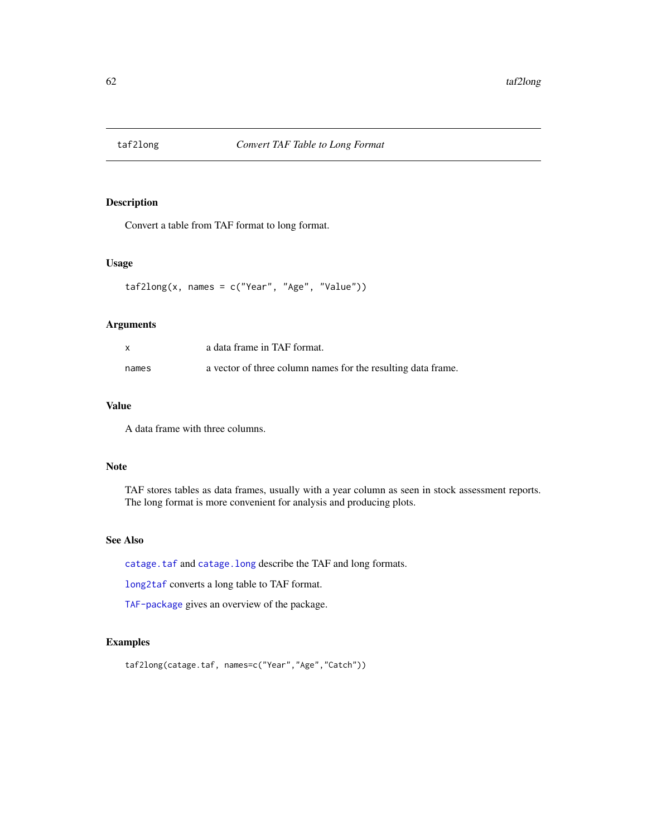<span id="page-61-1"></span><span id="page-61-0"></span>

Convert a table from TAF format to long format.

#### Usage

```
taf2long(x, names = c("Year", "Age", "Value"))
```
# Arguments

| $\mathsf{x}$ | a data frame in TAF format.                                  |
|--------------|--------------------------------------------------------------|
| names        | a vector of three column names for the resulting data frame. |

# Value

A data frame with three columns.

# Note

TAF stores tables as data frames, usually with a year column as seen in stock assessment reports. The long format is more convenient for analysis and producing plots.

# See Also

[catage.taf](#page-5-1) and [catage.long](#page-4-1) describe the TAF and long formats.

[long2taf](#page-29-1) converts a long table to TAF format.

[TAF-package](#page-2-1) gives an overview of the package.

# Examples

```
taf2long(catage.taf, names=c("Year","Age","Catch"))
```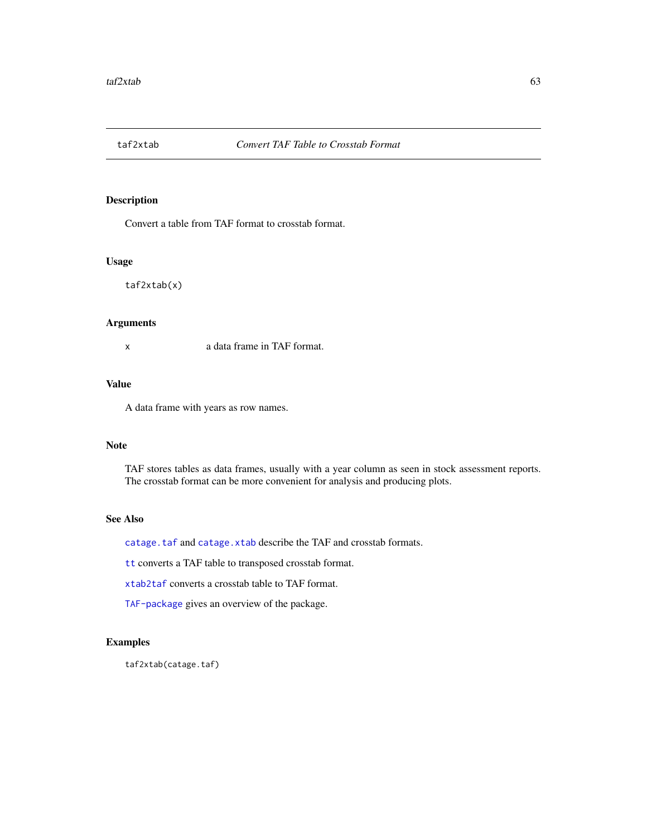<span id="page-62-1"></span><span id="page-62-0"></span>

Convert a table from TAF format to crosstab format.

#### Usage

taf2xtab(x)

#### Arguments

x a data frame in TAF format.

# Value

A data frame with years as row names.

#### Note

TAF stores tables as data frames, usually with a year column as seen in stock assessment reports. The crosstab format can be more convenient for analysis and producing plots.

# See Also

[catage.taf](#page-5-1) and [catage.xtab](#page-6-1) describe the TAF and crosstab formats.

[tt](#page-63-1) converts a TAF table to transposed crosstab format.

[xtab2taf](#page-66-1) converts a crosstab table to TAF format.

[TAF-package](#page-2-1) gives an overview of the package.

# Examples

taf2xtab(catage.taf)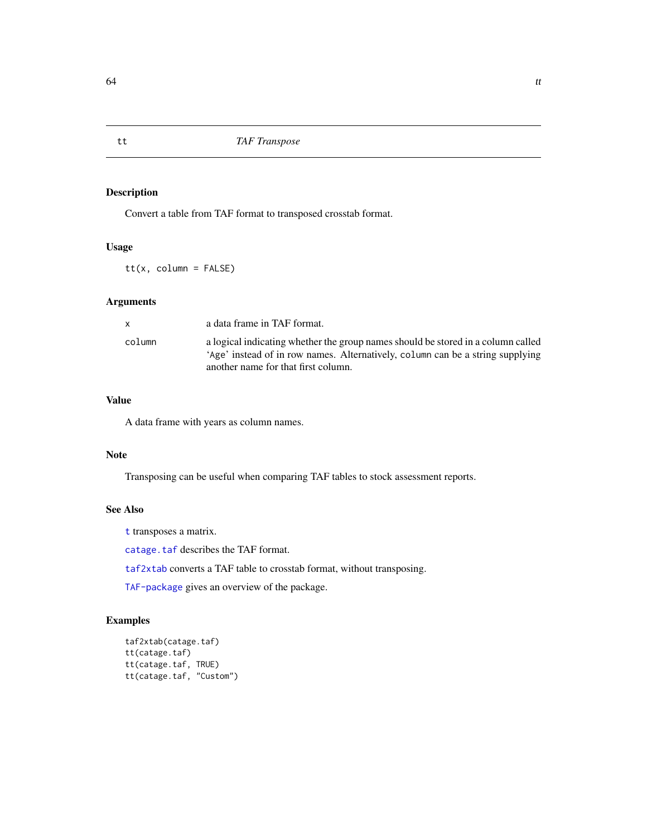Convert a table from TAF format to transposed crosstab format.

# Usage

tt(x, column = FALSE)

# Arguments

| $\mathsf{x}$ | a data frame in TAF format.                                                                                                                                                                               |
|--------------|-----------------------------------------------------------------------------------------------------------------------------------------------------------------------------------------------------------|
| column       | a logical indicating whether the group names should be stored in a column called<br>'Age' instead of in row names. Alternatively, column can be a string supplying<br>another name for that first column. |

# Value

A data frame with years as column names.

#### Note

Transposing can be useful when comparing TAF tables to stock assessment reports.

#### See Also

[t](#page-0-0) transposes a matrix.

[catage.taf](#page-5-1) describes the TAF format.

[taf2xtab](#page-62-1) converts a TAF table to crosstab format, without transposing.

[TAF-package](#page-2-1) gives an overview of the package.

# Examples

```
taf2xtab(catage.taf)
tt(catage.taf)
tt(catage.taf, TRUE)
tt(catage.taf, "Custom")
```
<span id="page-63-1"></span><span id="page-63-0"></span>tt *TAF Transpose*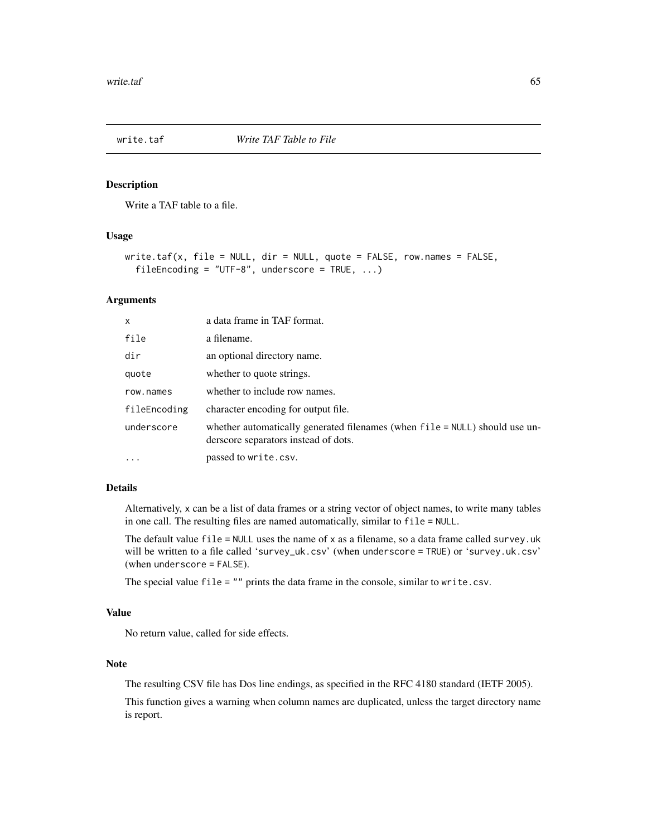<span id="page-64-1"></span><span id="page-64-0"></span>

Write a TAF table to a file.

#### Usage

```
write.taf(x, file = NULL, dir = NULL, quote = FALSE, row.names = FALSE,
  fileEncoding = "UTF-8", underscore = TRUE, \ldots)
```
#### Arguments

| x            | a data frame in TAF format.                                                                                         |
|--------------|---------------------------------------------------------------------------------------------------------------------|
| file         | a filename.                                                                                                         |
| dir          | an optional directory name.                                                                                         |
| quote        | whether to quote strings.                                                                                           |
| row.names    | whether to include row names.                                                                                       |
| fileEncoding | character encoding for output file.                                                                                 |
| underscore   | whether automatically generated filenames (when file = NULL) should use un-<br>derscore separators instead of dots. |
| $\ddots$     | passed to write.csv.                                                                                                |

# Details

Alternatively, x can be a list of data frames or a string vector of object names, to write many tables in one call. The resulting files are named automatically, similar to file = NULL.

The default value  $file = NULL$  uses the name of  $x$  as a filename, so a data frame called survey. uk will be written to a file called 'survey\_uk.csv' (when underscore = TRUE) or 'survey.uk.csv' (when underscore = FALSE).

The special value file = "" prints the data frame in the console, similar to write.csv.

#### Value

No return value, called for side effects.

#### Note

The resulting CSV file has Dos line endings, as specified in the RFC 4180 standard (IETF 2005).

This function gives a warning when column names are duplicated, unless the target directory name is report.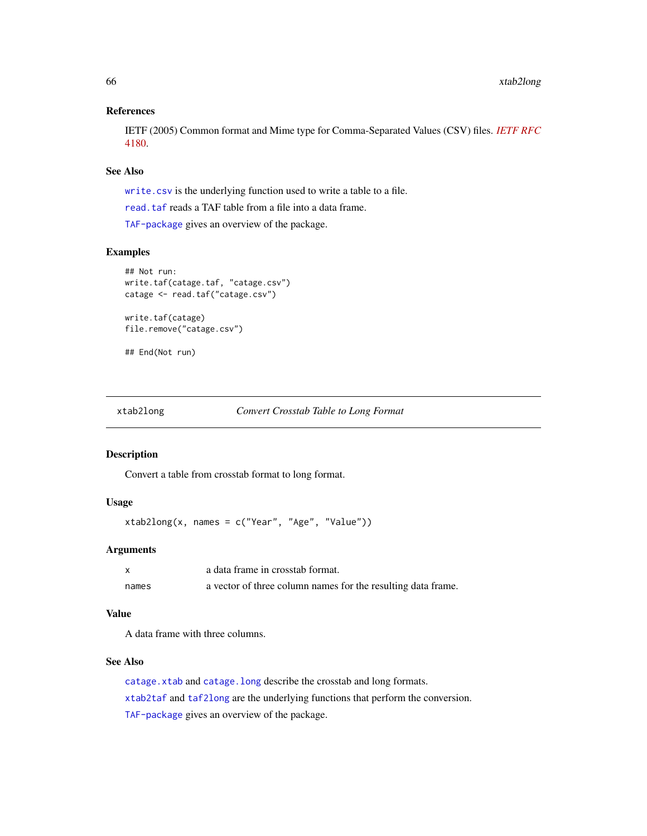# References

IETF (2005) Common format and Mime type for Comma-Separated Values (CSV) files. *[IETF RFC](https://tools.ietf.org/html/rfc4180)* [4180.](https://tools.ietf.org/html/rfc4180)

# See Also

[write.csv](#page-0-0) is the underlying function used to write a table to a file.

[read.taf](#page-40-1) reads a TAF table from a file into a data frame.

[TAF-package](#page-2-1) gives an overview of the package.

# Examples

```
## Not run:
write.taf(catage.taf, "catage.csv")
catage <- read.taf("catage.csv")
write.taf(catage)
file.remove("catage.csv")
```
## End(Not run)

<span id="page-65-1"></span>xtab2long *Convert Crosstab Table to Long Format*

#### Description

Convert a table from crosstab format to long format.

# Usage

```
xtab2long(x, names = c("Year", "Age", "Value"))
```
#### Arguments

|       | a data frame in crosstab format.                             |
|-------|--------------------------------------------------------------|
| names | a vector of three column names for the resulting data frame. |

# Value

A data frame with three columns.

#### See Also

[catage.xtab](#page-6-1) and [catage.long](#page-4-1) describe the crosstab and long formats. [xtab2taf](#page-66-1) and [taf2long](#page-61-1) are the underlying functions that perform the conversion. [TAF-package](#page-2-1) gives an overview of the package.

<span id="page-65-0"></span>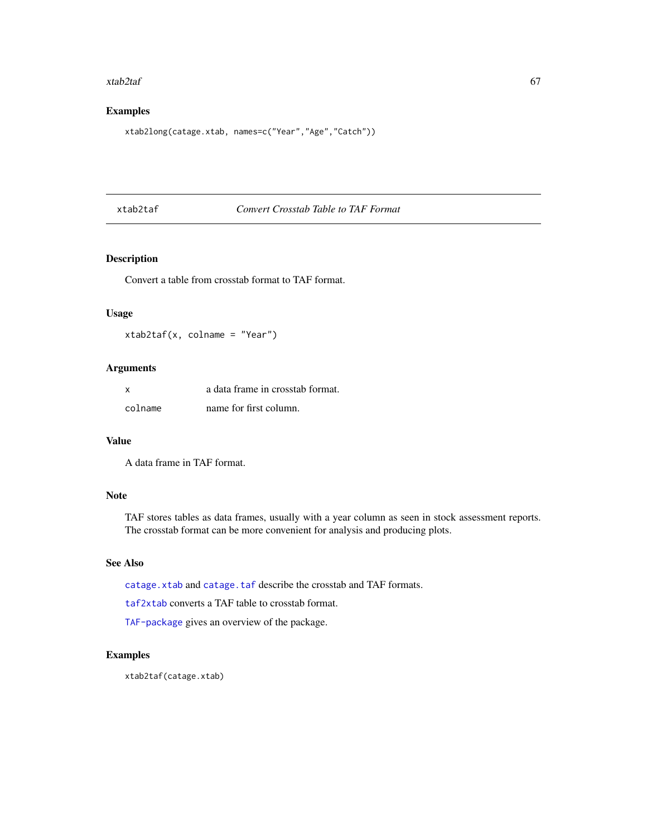#### <span id="page-66-0"></span>xtab2taf 67

# Examples

xtab2long(catage.xtab, names=c("Year","Age","Catch"))

# <span id="page-66-1"></span>xtab2taf *Convert Crosstab Table to TAF Format*

# Description

Convert a table from crosstab format to TAF format.

# Usage

xtab2taf(x, colname = "Year")

# Arguments

| x       | a data frame in crosstab format. |
|---------|----------------------------------|
| colname | name for first column.           |

# Value

A data frame in TAF format.

#### Note

TAF stores tables as data frames, usually with a year column as seen in stock assessment reports. The crosstab format can be more convenient for analysis and producing plots.

# See Also

[catage.xtab](#page-6-1) and [catage.taf](#page-5-1) describe the crosstab and TAF formats.

[taf2xtab](#page-62-1) converts a TAF table to crosstab format.

[TAF-package](#page-2-1) gives an overview of the package.

# Examples

xtab2taf(catage.xtab)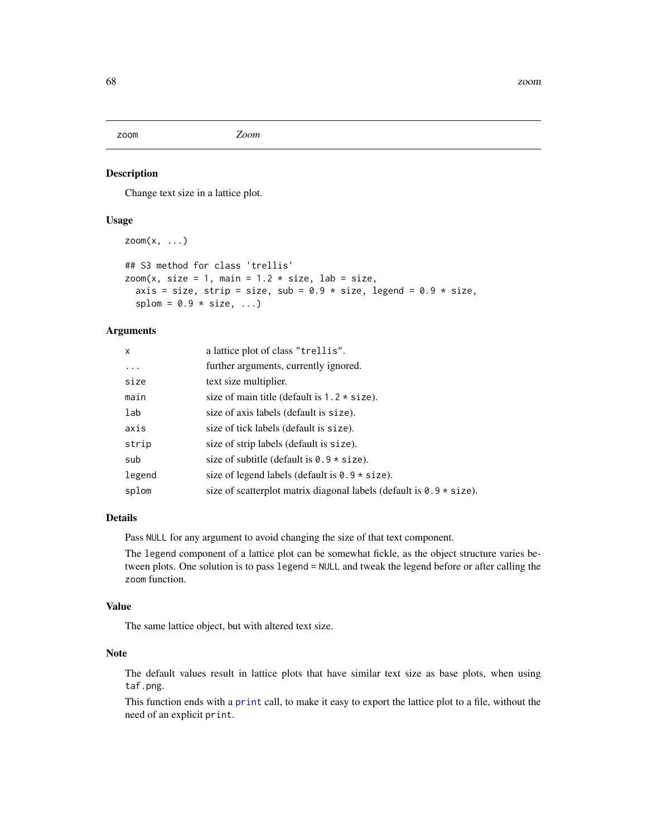<span id="page-67-1"></span><span id="page-67-0"></span>zoom *Zoom*

# Description

Change text size in a lattice plot.

# Usage

```
zoom(x, \ldots)
```

```
## S3 method for class 'trellis'
zoom(x, size = 1, main = 1.2 * size, lab = size,axis = size, strip = size, sub = 0.9 \times size, legend = 0.9 \times size,
  splom = 0.9 * size, ...
```
# Arguments

| $\mathsf{x}$ | a lattice plot of class "trellis".                                     |
|--------------|------------------------------------------------------------------------|
| $\ddots$     | further arguments, currently ignored.                                  |
| size         | text size multiplier.                                                  |
| main         | size of main title (default is $1.2 \times$ size).                     |
| lab          | size of axis labels (default is size).                                 |
| axis         | size of tick labels (default is size).                                 |
| strip        | size of strip labels (default is size).                                |
| sub          | size of subtitle (default is $0.9 * size$ ).                           |
| legend       | size of legend labels (default is $0.9 \times$ size).                  |
| splom        | size of scatterplot matrix diagonal labels (default is $0.9 * size$ ). |

# Details

Pass NULL for any argument to avoid changing the size of that text component.

The legend component of a lattice plot can be somewhat fickle, as the object structure varies between plots. One solution is to pass legend = NULL and tweak the legend before or after calling the zoom function.

# Value

The same lattice object, but with altered text size.

# Note

The default values result in lattice plots that have similar text size as base plots, when using taf.png.

This function ends with a [print](#page-0-0) call, to make it easy to export the lattice plot to a file, without the need of an explicit print.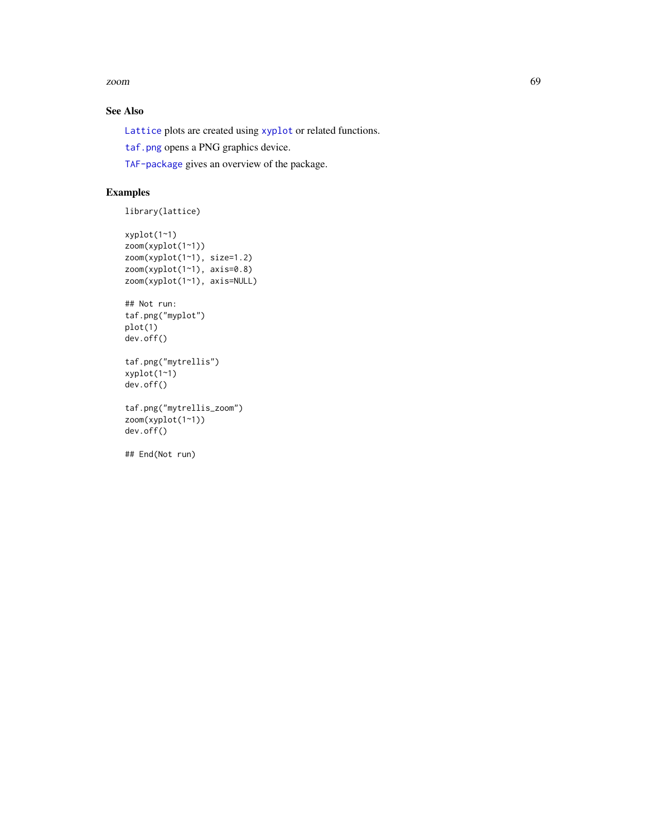<span id="page-68-0"></span>zoom 69

# See Also

[Lattice](#page-0-0) plots are created using [xyplot](#page-0-0) or related functions.

[taf.png](#page-56-1) opens a PNG graphics device.

[TAF-package](#page-2-1) gives an overview of the package.

# Examples

```
library(lattice)
```

```
xyplot(1~1)
zoom(xyplot(1~1))
zoom(xyplot(1~1), size=1.2)
zoom(xyplot(1~1), axis=0.8)
zoom(xyplot(1~1), axis=NULL)
## Not run:
taf.png("myplot")
plot(1)
dev.off()
```

```
taf.png("mytrellis")
xyplot(1~1)
dev.off()
```

```
taf.png("mytrellis_zoom")
zoom(xyplot(1~1))
dev.off()
```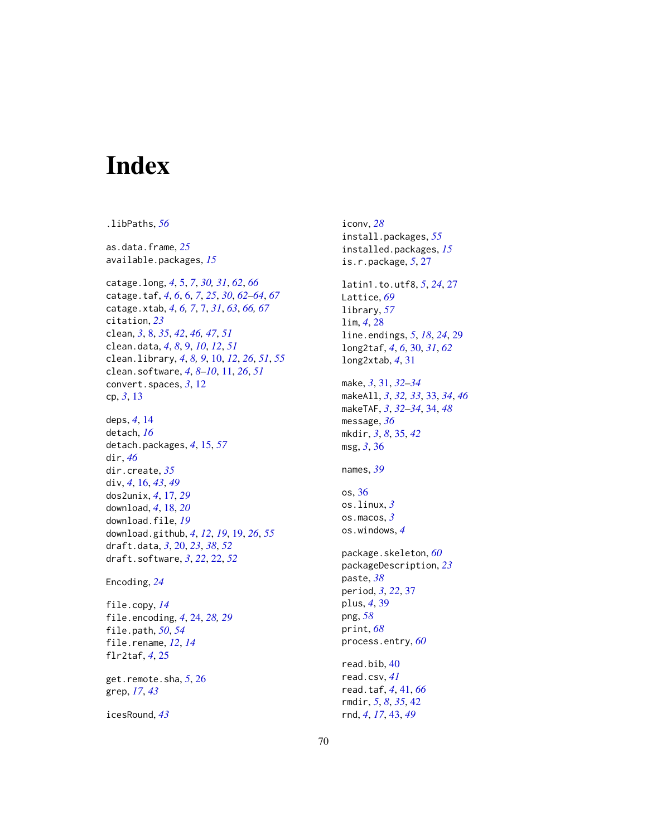# <span id="page-69-0"></span>Index

.libPaths, *[56](#page-55-0)* as.data.frame, *[25](#page-24-0)* available.packages, *[15](#page-14-0)* catage.long, *[4](#page-3-0)*, [5,](#page-4-0) *[7](#page-6-0)*, *[30,](#page-29-0) [31](#page-30-0)*, *[62](#page-61-0)*, *[66](#page-65-0)* catage.taf, *[4](#page-3-0)*, *[6](#page-5-0)*, [6,](#page-5-0) *[7](#page-6-0)*, *[25](#page-24-0)*, *[30](#page-29-0)*, *[62–](#page-61-0)[64](#page-63-0)*, *[67](#page-66-0)* catage.xtab, *[4](#page-3-0)*, *[6,](#page-5-0) [7](#page-6-0)*, [7,](#page-6-0) *[31](#page-30-0)*, *[63](#page-62-0)*, *[66,](#page-65-0) [67](#page-66-0)* citation, *[23](#page-22-0)* clean, *[3](#page-2-0)*, [8,](#page-7-0) *[35](#page-34-0)*, *[42](#page-41-0)*, *[46,](#page-45-0) [47](#page-46-0)*, *[51](#page-50-0)* clean.data, *[4](#page-3-0)*, *[8](#page-7-0)*, [9,](#page-8-0) *[10](#page-9-0)*, *[12](#page-11-0)*, *[51](#page-50-0)* clean.library, *[4](#page-3-0)*, *[8,](#page-7-0) [9](#page-8-0)*, [10,](#page-9-0) *[12](#page-11-0)*, *[26](#page-25-0)*, *[51](#page-50-0)*, *[55](#page-54-0)* clean.software, *[4](#page-3-0)*, *[8](#page-7-0)[–10](#page-9-0)*, [11,](#page-10-0) *[26](#page-25-0)*, *[51](#page-50-0)* convert.spaces, *[3](#page-2-0)*, [12](#page-11-0) cp, *[3](#page-2-0)*, [13](#page-12-0) deps, *[4](#page-3-0)*, [14](#page-13-0) detach, *[16](#page-15-0)* detach.packages, *[4](#page-3-0)*, [15,](#page-14-0) *[57](#page-56-0)* dir, *[46](#page-45-0)* dir.create, *[35](#page-34-0)* div, *[4](#page-3-0)*, [16,](#page-15-0) *[43](#page-42-0)*, *[49](#page-48-0)* dos2unix, *[4](#page-3-0)*, [17,](#page-16-0) *[29](#page-28-0)* download, *[4](#page-3-0)*, [18,](#page-17-0) *[20](#page-19-0)* download.file, *[19](#page-18-0)* download.github, *[4](#page-3-0)*, *[12](#page-11-0)*, *[19](#page-18-0)*, [19,](#page-18-0) *[26](#page-25-0)*, *[55](#page-54-0)* draft.data, *[3](#page-2-0)*, [20,](#page-19-0) *[23](#page-22-0)*, *[38](#page-37-0)*, *[52](#page-51-0)* draft.software, *[3](#page-2-0)*, *[22](#page-21-0)*, [22,](#page-21-0) *[52](#page-51-0)* Encoding, *[24](#page-23-0)* file.copy, *[14](#page-13-0)* file.encoding, *[4](#page-3-0)*, [24,](#page-23-0) *[28,](#page-27-0) [29](#page-28-0)* file.path, *[50](#page-49-0)*, *[54](#page-53-0)* file.rename, *[12](#page-11-0)*, *[14](#page-13-0)* flr2taf, *[4](#page-3-0)*, [25](#page-24-0) get.remote.sha, *[5](#page-4-0)*, [26](#page-25-0)

grep, *[17](#page-16-0)*, *[43](#page-42-0)*

icesRound, *[43](#page-42-0)*

iconv, *[28](#page-27-0)* install.packages, *[55](#page-54-0)* installed.packages, *[15](#page-14-0)* is.r.package, *[5](#page-4-0)*, [27](#page-26-0) latin1.to.utf8, *[5](#page-4-0)*, *[24](#page-23-0)*, [27](#page-26-0) Lattice, *[69](#page-68-0)* library, *[57](#page-56-0)* lim, *[4](#page-3-0)*, [28](#page-27-0) line.endings, *[5](#page-4-0)*, *[18](#page-17-0)*, *[24](#page-23-0)*, [29](#page-28-0) long2taf, *[4](#page-3-0)*, *[6](#page-5-0)*, [30,](#page-29-0) *[31](#page-30-0)*, *[62](#page-61-0)* long2xtab, *[4](#page-3-0)*, [31](#page-30-0) make, *[3](#page-2-0)*, [31,](#page-30-0) *[32](#page-31-0)[–34](#page-33-0)* makeAll, *[3](#page-2-0)*, *[32,](#page-31-0) [33](#page-32-0)*, [33,](#page-32-0) *[34](#page-33-0)*, *[46](#page-45-0)* makeTAF, *[3](#page-2-0)*, *[32](#page-31-0)[–34](#page-33-0)*, [34,](#page-33-0) *[48](#page-47-0)* message, *[36](#page-35-0)* mkdir, *[3](#page-2-0)*, *[8](#page-7-0)*, [35,](#page-34-0) *[42](#page-41-0)* msg, *[3](#page-2-0)*, [36](#page-35-0) names, *[39](#page-38-0)* os, [36](#page-35-0) os.linux, *[3](#page-2-0)* os.macos, *[3](#page-2-0)* os.windows, *[4](#page-3-0)* package.skeleton, *[60](#page-59-0)* packageDescription, *[23](#page-22-0)* paste, *[38](#page-37-0)* period, *[3](#page-2-0)*, *[22](#page-21-0)*, [37](#page-36-0) plus, *[4](#page-3-0)*, [39](#page-38-0) png, *[58](#page-57-0)* print, *[68](#page-67-0)* process.entry, *[60](#page-59-0)* read.bib, [40](#page-39-0) read.csv, *[41](#page-40-0)* read.taf, *[4](#page-3-0)*, [41,](#page-40-0) *[66](#page-65-0)* rmdir, *[5](#page-4-0)*, *[8](#page-7-0)*, *[35](#page-34-0)*, [42](#page-41-0)

rnd, *[4](#page-3-0)*, *[17](#page-16-0)*, [43,](#page-42-0) *[49](#page-48-0)*